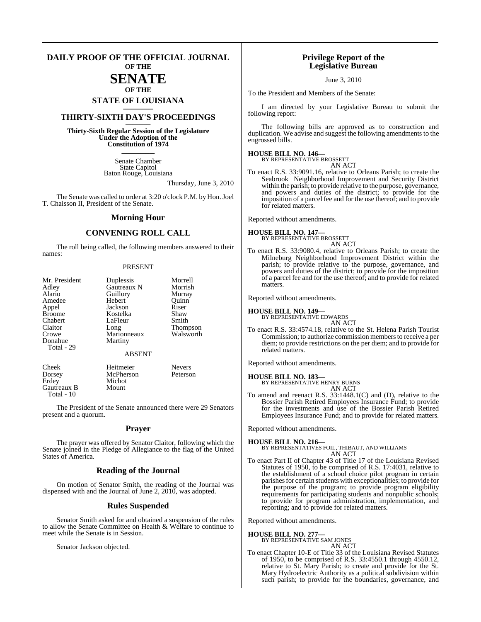#### **DAILY PROOF OF THE OFFICIAL JOURNAL OF THE**

### **SENATE OF THE**

# **STATE OF LOUISIANA \_\_\_\_\_\_\_**

### **THIRTY-SIXTH DAY'S PROCEEDINGS \_\_\_\_\_\_\_**

**Thirty-Sixth Regular Session of the Legislature Under the Adoption of the Constitution of 1974 \_\_\_\_\_\_\_**

> Senate Chamber State Capitol Baton Rouge, Louisiana

> > Thursday, June 3, 2010

The Senate was called to order at 3:20 o'clock P.M. by Hon.Joel T. Chaisson II, President of the Senate.

#### **Morning Hour**

### **CONVENING ROLL CALL**

The roll being called, the following members answered to their names:

#### PRESENT

| Mr. President | Duplessis     | Morrell         |
|---------------|---------------|-----------------|
| Adley         | Gautreaux N   | Morrish         |
| Alario        | Guillory      | Murray          |
| Amedee        | Hebert        | Ouinn           |
| Appel         | Jackson       | Riser           |
| <b>Broome</b> | Kostelka      | Shaw            |
| Chabert       | LaFleur       | Smith           |
| Claitor       | Long          | <b>Thompson</b> |
| Crowe         | Marionneaux   | Walsworth       |
| Donahue       | Martiny       |                 |
| Total - 29    |               |                 |
|               | <b>ABSENT</b> |                 |
| Cheek         | Heitmeier     | <b>Nevers</b>   |
| Dorsey        | McPherson     | Peterson        |
| Erdey         | Michot        |                 |
| Gautreaux B   | Mount         |                 |

The President of the Senate announced there were 29 Senators present and a quorum.

#### **Prayer**

The prayer was offered by Senator Claitor, following which the Senate joined in the Pledge of Allegiance to the flag of the United States of America.

#### **Reading of the Journal**

On motion of Senator Smith, the reading of the Journal was dispensed with and the Journal of June 2, 2010, was adopted.

#### **Rules Suspended**

Senator Smith asked for and obtained a suspension of the rules to allow the Senate Committee on Health & Welfare to continue to meet while the Senate is in Session.

Senator Jackson objected.

Total - 10

### **Privilege Report of the Legislative Bureau**

June 3, 2010

To the President and Members of the Senate:

I am directed by your Legislative Bureau to submit the following report:

The following bills are approved as to construction and duplication. We advise and suggest the following amendments to the engrossed bills.

### **HOUSE BILL NO. 146—** BY REPRESENTATIVE BROSSETT

AN ACT

To enact R.S. 33:9091.16, relative to Orleans Parish; to create the Seabrook Neighborhood Improvement and Security District within the parish; to provide relative to the purpose, governance, and powers and duties of the district; to provide for the imposition of a parcel fee and for the use thereof; and to provide for related matters.

Reported without amendments.

**HOUSE BILL NO. 147—** BY REPRESENTATIVE BROSSETT AN ACT

To enact R.S. 33:9080.4, relative to Orleans Parish; to create the Milneburg Neighborhood Improvement District within the parish; to provide relative to the purpose, governance, and powers and duties of the district; to provide for the imposition of a parcel fee and for the use thereof; and to provide for related matters.

Reported without amendments.

#### **HOUSE BILL NO. 149—**

BY REPRESENTATIVE EDWARDS AN ACT

To enact R.S. 33:4574.18, relative to the St. Helena Parish Tourist Commission; to authorize commission members to receive a per diem; to provide restrictions on the per diem; and to provide for related matters.

Reported without amendments.

**HOUSE BILL NO. 183—** BY REPRESENTATIVE HENRY BURNS AN ACT

To amend and reenact R.S. 33:1448.1(C) and (D), relative to the Bossier Parish Retired Employees Insurance Fund; to provide for the investments and use of the Bossier Parish Retired Employees Insurance Fund; and to provide for related matters.

Reported without amendments.

**HOUSE BILL NO. 216—** BY REPRESENTATIVES FOIL, THIBAUT, AND WILLIAMS AN ACT

To enact Part II of Chapter 43 of Title 17 of the Louisiana Revised Statutes of 1950, to be comprised of R.S. 17:4031, relative to the establishment of a school choice pilot program in certain parishes for certain students with exceptionalities; to provide for the purpose of the program; to provide program eligibility requirements for participating students and nonpublic schools; to provide for program administration, implementation, and reporting; and to provide for related matters.

Reported without amendments.

**HOUSE BILL NO. 277—** BY REPRESENTATIVE SAM JONES

AN ACT

To enact Chapter 10-E of Title 33 of the Louisiana Revised Statutes of 1950, to be comprised of R.S. 33:4550.1 through 4550.12, relative to St. Mary Parish; to create and provide for the St. Mary Hydroelectric Authority as a political subdivision within such parish; to provide for the boundaries, governance, and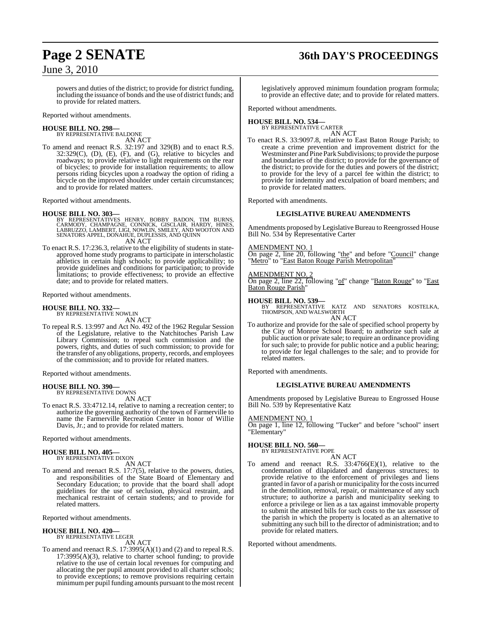## **Page 2 SENATE 36th DAY'S PROCEEDINGS**

June 3, 2010

powers and duties of the district; to provide for district funding, including the issuance of bonds and the use of district funds; and to provide for related matters.

Reported without amendments.

#### **HOUSE BILL NO. 298—** BY REPRESENTATIVE BALDONE

AN ACT

To amend and reenact R.S. 32:197 and 329(B) and to enact R.S. 32:329(C), (D), (E), (F), and (G), relative to bicycles and roadways; to provide relative to light requirements on the rear of bicycles; to provide for installation requirements; to allow persons riding bicycles upon a roadway the option of riding a bicycle on the improved shoulder under certain circumstances; and to provide for related matters.

Reported without amendments.

#### **HOUSE BILL NO. 303—**

- BY REPRESENTATIVES HENRY, BOBBY BADON, TIM BURNS,<br>CARMODY, CHAMPAGNE, CONNICK, GISCLAIR, HARDY, HINES,<br>LABRUZZO, LAMBERT, LIGI, NOWLIN, SMILEY, AND WOOTON AND<br>SENATORS APPEL, DONAHUE, DUPLESSIS, AND QUINN AN ACT
- To enact R.S. 17:236.3, relative to the eligibility of students in stateapproved home study programs to participate in interscholastic athletics in certain high schools; to provide applicability; to provide guidelines and conditions for participation; to provide limitations; to provide effectiveness; to provide an effective date; and to provide for related matters.

Reported without amendments.

### **HOUSE BILL NO. 332—**

BY REPRESENTATIVE NOWLIN AN ACT

To repeal R.S. 13:997 and Act No. 492 of the 1962 Regular Session of the Legislature, relative to the Natchitoches Parish Law Library Commission; to repeal such commission and the powers, rights, and duties of such commission; to provide for the transfer of any obligations, property, records, and employees of the commission; and to provide for related matters.

Reported without amendments.

# **HOUSE BILL NO. 390—** BY REPRESENTATIVE DOWNS

AN ACT

To enact R.S. 33:4712.14, relative to naming a recreation center; to authorize the governing authority of the town of Farmerville to name the Farmerville Recreation Center in honor of Willie Davis, Jr.; and to provide for related matters.

Reported without amendments.

#### **HOUSE BILL NO. 405—** BY REPRESENTATIVE DIXON

AN ACT

To amend and reenact R.S. 17:7(5), relative to the powers, duties, and responsibilities of the State Board of Elementary and Secondary Education; to provide that the board shall adopt guidelines for the use of seclusion, physical restraint, and mechanical restraint of certain students; and to provide for related matters.

Reported without amendments.

#### **HOUSE BILL NO. 420—** BY REPRESENTATIVE LEGER

AN ACT

To amend and reenact R.S. 17:3995(A)(1) and (2) and to repeal R.S. 17:3995(A)(3), relative to charter school funding; to provide relative to the use of certain local revenues for computing and allocating the per pupil amount provided to all charter schools; to provide exceptions; to remove provisions requiring certain minimumper pupil funding amounts pursuant to the most recent

legislatively approved minimum foundation program formula; to provide an effective date; and to provide for related matters.

Reported without amendments.

#### **HOUSE BILL NO. 534—** BY REPRESENTATIVE CARTER

AN ACT

To enact R.S. 33:9097.8, relative to East Baton Rouge Parish; to create a crime prevention and improvement district for the Westminster and Pine Park Subdivisions; to provide the purpose and boundaries of the district; to provide for the governance of the district; to provide for the duties and powers of the district; to provide for the levy of a parcel fee within the district; to provide for indemnity and exculpation of board members; and to provide for related matters.

Reported with amendments.

### **LEGISLATIVE BUREAU AMENDMENTS**

Amendments proposed by Legislative Bureau to Reengrossed House Bill No. 534 by Representative Carter

#### AMENDMENT NO. 1

On page 2, line 20, following "the" and before "Council" change "Metro" to "East Baton Rouge Parish Metropolitan"

#### AMENDMENT NO. 2

On page 2, line 22, following "of" change "Baton Rouge" to "East Baton Rouge Parish"

**HOUSE BILL NO. 539—** BY REPRESENTATIVE KATZ AND SENATORS KOSTELKA, THOMPSON, AND WALSWORTH AN ACT

To authorize and provide for the sale of specified school property by the City of Monroe School Board; to authorize such sale at public auction or private sale; to require an ordinance providing for such sale; to provide for public notice and a public hearing; to provide for legal challenges to the sale; and to provide for related matters.

Reported with amendments.

### **LEGISLATIVE BUREAU AMENDMENTS**

Amendments proposed by Legislative Bureau to Engrossed House Bill No. 539 by Representative Katz

#### AMENDMENT NO. 1

On page 1, line 12, following "Tucker" and before "school" insert "Elementary"

### **HOUSE BILL NO. 560—**

BY REPRESENTATIVE POPE

AN ACT

To amend and reenact R.S.  $33:4766(E)(1)$ , relative to the condemnation of dilapidated and dangerous structures; to provide relative to the enforcement of privileges and liens granted in favor of a parish or municipality for the costsincurred in the demolition, removal, repair, or maintenance of any such structure; to authorize a parish and municipality seeking to enforce a privilege or lien as a tax against immovable property to submit the attested bills for such costs to the tax assessor of the parish in which the property is located as an alternative to submitting any such bill to the director of administration; and to provide for related matters.

Reported without amendments.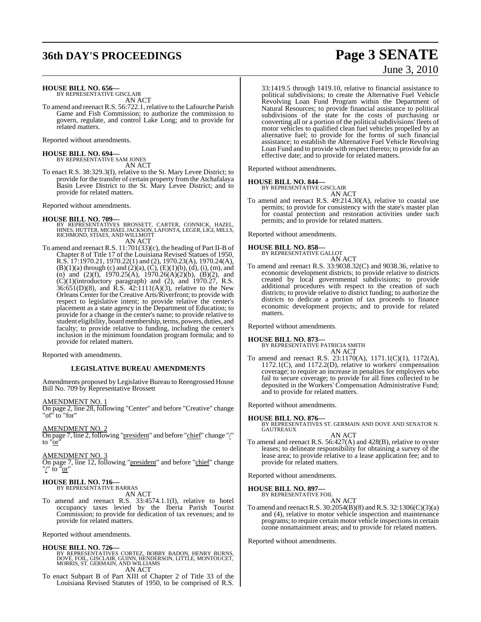## **36th DAY'S PROCEEDINGS Page 3 SENATE**

# June 3, 2010

**HOUSE BILL NO. 656—** BY REPRESENTATIVE GISCLAIR

AN ACT

To amend and reenact R.S. 56:722.1, relative to the Lafourche Parish Game and Fish Commission; to authorize the commission to govern, regulate, and control Lake Long; and to provide for related matters.

Reported without amendments.

**HOUSE BILL NO. 694—** BY REPRESENTATIVE SAM JONES AN ACT

To enact R.S. 38:329.3(I), relative to the St. Mary Levee District; to provide for the transfer of certain property from the Atchafalaya Basin Levee District to the St. Mary Levee District; and to provide for related matters.

Reported without amendments.

- **HOUSE BILL NO. 709—** BY REPRESENTATIVES BROSSETT, CARTER, CONNICK, HAZEL, HINES, HUTTER, MICHAEL JACKSON, LAFONTA, LEGER, LIGI, MILLS, RICHMOND, STIAES, AND WILLMOTT AN ACT
- To amend and reenact R.S. 11:701(33)(c), the heading of Part II-B of Chapter 8 of Title 17 of the Louisiana Revised Statues of 1950, R.S. 17:1970.21, 1970.22(1) and (2), 1970.23(A), 1970.24(A),  $(B)(1)(a)$  through (c) and  $(2)(a)$ ,  $(C)$ ,  $(E)(1)(b)$ ,  $(d)$ ,  $(i)$ ,  $(m)$ , and (n) and (2)(f), 1970.25(A), 1970.26(A)(2)(b), (B)(2), and (C)(1)(introductory paragraph) and (2), and 1970.27, R.S.  $36:651(D)(8)$ , and R.S.  $42:1111(A)(3)$ , relative to the New Orleans Center for the Creative Arts/Riverfront; to provide with respect to legislative intent; to provide relative the center's placement as a state agency in the Department of Education; to provide for a change in the center's name; to provide relative to student eligibility, board membership, terms, powers, duties, and faculty; to provide relative to funding, including the center's inclusion in the minimum foundation program formula; and to provide for related matters.

Reported with amendments.

#### **LEGISLATIVE BUREAU AMENDMENTS**

Amendments proposed by Legislative Bureau to Reengrossed House Bill No. 709 by Representative Brossett

AMENDMENT NO. 1

On page 2, line 28, following "Center" and before "Creative" change "of" to "for"

AMENDMENT NO. 2

On page 7, line 2, following "president" and before "chief" change "/" to "or"

AMENDMENT NO. 3

On page 7, line 12, following "president" and before "chief" change "/" to "or"

#### **HOUSE BILL NO. 716—** BY REPRESENTATIVE BARRAS

AN ACT

To amend and reenact R.S. 33:4574.1.1(I), relative to hotel occupancy taxes levied by the Iberia Parish Tourist Commission; to provide for dedication of tax revenues; and to provide for related matters.

Reported without amendments.

#### **HOUSE BILL NO. 726—**

BY REPRESENTATIVES CORTEZ, BOBBY BADON, HENRY BURNS,<br>DOVE, FOIL, GISCLAIR, GUINN, HENDERSON, LITTLE, MONTOUCET,<br>MORRIS, ST. GERMAIN, AND WILLIAMS AN ACT

To enact Subpart B of Part XIII of Chapter 2 of Title 33 of the Louisiana Revised Statutes of 1950, to be comprised of R.S. 33:1419.5 through 1419.10, relative to financial assistance to political subdivisions; to create the Alternative Fuel Vehicle Revolving Loan Fund Program within the Department of Natural Resources; to provide financial assistance to political subdivisions of the state for the costs of purchasing or converting all or a portion of the political subdivisions' fleets of motor vehicles to qualified clean fuel vehicles propelled by an alternative fuel; to provide for the forms of such financial assistance; to establish the Alternative Fuel Vehicle Revolving Loan Fund and to provide with respect thereto; to provide for an effective date; and to provide for related matters.

Reported without amendments.

#### **HOUSE BILL NO. 844—**

BY REPRESENTATIVE GISCLAIR AN ACT

To amend and reenact R.S. 49:214.30(A), relative to coastal use permits; to provide for consistency with the state's master plan for coastal protection and restoration activities under such permits; and to provide for related matters.

Reported without amendments.

### **HOUSE BILL NO. 858—** BY REPRESENTATIVE GALLOT

AN ACT

To amend and reenact R.S. 33:9038.32(C) and 9038.36, relative to economic development districts; to provide relative to districts created by local governmental subdivisions; to provide additional procedures with respect to the creation of such districts; to provide relative to district funding; to authorize the districts to dedicate a portion of tax proceeds to finance economic development projects; and to provide for related matters.

Reported without amendments.

#### **HOUSE BILL NO. 873—**

BY REPRESENTATIVE PATRICIA SMITH AN ACT

To amend and reenact R.S. 23:1170(A), 1171.1(C)(1), 1172(A), 1172.1(C), and 1172.2(D), relative to workers' compensation coverage; to require an increase in penalties for employers who fail to secure coverage; to provide for all fines collected to be deposited in the Workers' Compensation Administrative Fund; and to provide for related matters.

Reported without amendments.

**HOUSE BILL NO. 876—** BY REPRESENTATIVES ST. GERMAIN AND DOVE AND SENATOR N. GAUTREAUX AN ACT

To amend and reenact R.S. 56:427(A) and 428(B), relative to oyster leases; to delineate responsibility for obtaining a survey of the lease area; to provide relative to a lease application fee; and to provide for related matters.

Reported without amendments.

#### **HOUSE BILL NO. 897—** BY REPRESENTATIVE FOIL

AN ACT

To amend and reenact R.S.  $30:2054(B)(8)$  and R.S.  $32:1306(C)(3)(a)$ and (4), relative to motor vehicle inspection and maintenance programs; to require certain motor vehicle inspectionsin certain ozone nonattainment areas; and to provide for related matters.

Reported without amendments.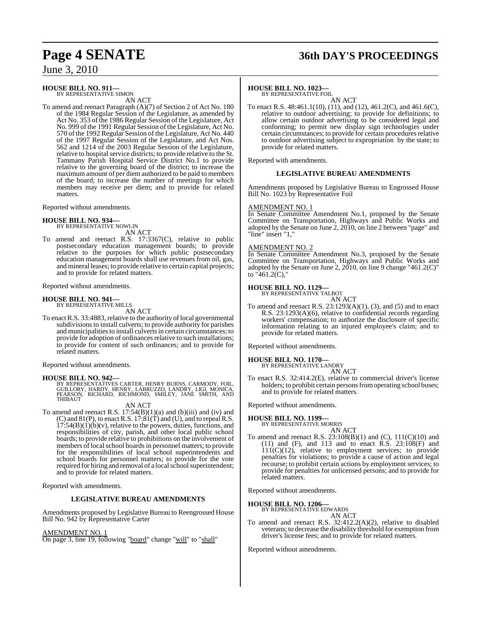# **Page 4 SENATE 36th DAY'S PROCEEDINGS**

June 3, 2010

### **HOUSE BILL NO. 911—** BY REPRESENTATIVE SIMON

AN ACT

To amend and reenact Paragraph (A)(7) of Section 2 of Act No. 180 of the 1984 Regular Session of the Legislature, as amended by Act No. 353 of the 1986 Regular Session of the Legislature, Act No. 999 of the 1991 Regular Session of the Legislature, Act No. 570 of the 1992 Regular Session of the Legislature, Act No. 440 of the 1997 Regular Session of the Legislature, and Act Nos. 562 and 1214 of the 2003 Regular Session of the Legislature, relative to hospital service districts; to provide relative to the St. Tammany Parish Hospital Service District No.1 to provide relative to the governing board of the district; to increase the maximum amount of per diem authorized to be paid to members of the board; to increase the number of meetings for which members may receive per diem; and to provide for related matters.

Reported without amendments.

# **HOUSE BILL NO. 934—** BY REPRESENTATIVE NOWLIN

AN ACT

To amend and reenact R.S. 17:3367(C), relative to public postsecondary education management boards; to provide relative to the purposes for which public postsecondary education management boards shall use revenues from oil, gas, and mineral leases; to provide relative to certain capital projects; and to provide for related matters.

Reported without amendments.

### **HOUSE BILL NO. 941—** BY REPRESENTATIVE MILLS

AN ACT

To enact R.S. 33:4883, relative to the authority of local governmental subdivisions to install culverts; to provide authority for parishes and municipalities to install culverts in certain circumstances; to provide for adoption of ordinances relative to such installations; to provide for content of such ordinances; and to provide for related matters.

Reported without amendments.

#### **HOUSE BILL NO. 942—**

BY REPRESENTATIVES CARTER, HENRY BURNS, CARMODY, FOIL,<br>GUILLORY, HARDY, HENRY, LABRUZZO, LANDRY, LIGI, MONICA,<br>PEARSON, RICHARD, RICHMOND, SMILEY, JANE SMITH, AND THIBAUT

#### AN ACT

To amend and reenact R.S. 17:54(B)(1)(a) and (b)(iii) and (iv) and (C) and  $81(P)$ , to enact R.S.  $17:81(T)$  and (U), and to repeal R.S.  $17:54(B)(1)(b)(v)$ , relative to the powers, duties, functions, and responsibilities of city, parish, and other local public school boards; to provide relative to prohibitions on the involvement of members of local school boards in personnel matters; to provide for the responsibilities of local school superintendents and school boards for personnel matters; to provide for the vote required for hiring and removal of a local school superintendent; and to provide for related matters.

Reported with amendments.

#### **LEGISLATIVE BUREAU AMENDMENTS**

Amendments proposed by Legislative Bureau to Reengrossed House Bill No. 942 by Representative Carter

#### AMENDMENT NO. 1

On page 3, line 19, following "board" change "will" to "shall"

#### **HOUSE BILL NO. 1023—**

BY REPRESENTATIVE FOIL

AN ACT To enact R.S. 48:461.1(10), (11), and (12), 461.2(C), and 461.6(C), relative to outdoor advertising; to provide for definitions; to allow certain outdoor advertising to be considered legal and conforming; to permit new display sign technologies under certain circumstances; to provide for certain procedures relative to outdoor advertising subject to expropriation by the state; to provide for related matters.

Reported with amendments.

#### **LEGISLATIVE BUREAU AMENDMENTS**

Amendments proposed by Legislative Bureau to Engrossed House Bill No. 1023 by Representative Foil

#### AMENDMENT NO. 1

In Senate Committee Amendment No.1, proposed by the Senate Committee on Transportation, Highways and Public Works and adopted by the Senate on June 2, 2010, on line 2 between "page" and "line" insert "1,

#### AMENDMENT NO. 2

In Senate Committee Amendment No.3, proposed by the Senate Committee on Transportation, Highways and Public Works and adopted by the Senate on June  $2, 2010$ , on line 9 change "461.2(C)" to " $461.2$ (C),"

#### **HOUSE BILL NO. 1129—**

BY REPRESENTATIVE TALBOT

- AN ACT
- To amend and reenact R.S.  $23:1293(A)(1)$ , (3), and (5) and to enact R.S. 23:1293(A)(6), relative to confidential records regarding workers' compensation; to authorize the disclosure of specific information relating to an injured employee's claim; and to provide for related matters.

Reported without amendments.

### **HOUSE BILL NO. 1170—** BY REPRESENTATIVE LANDRY

AN ACT

To enact R.S. 32:414.2(E), relative to commercial driver's license holders; to prohibit certain persons from operating school buses; and to provide for related matters.

Reported without amendments.

#### **HOUSE BILL NO. 1199—**

BY REPRESENTATIVE MORRIS

AN ACT To amend and reenact R.S. 23:108(B)(1) and (C), 111(C)(10) and (11) and (F), and 113 and to enact R.S. 23:108(F) and 111(C)(12), relative to employment services; to provide penalties for violations; to provide a cause of action and legal recourse; to prohibit certain actions by employment services; to provide for penalties for unlicensed persons; and to provide for related matters.

Reported without amendments.

#### **HOUSE BILL NO. 1206—**

BY REPRESENTATIVE EDWARDS AN ACT

To amend and reenact R.S. 32:412.2(A)(2), relative to disabled veterans; to decrease the disability threshold for exemption from driver's license fees; and to provide for related matters.

Reported without amendments.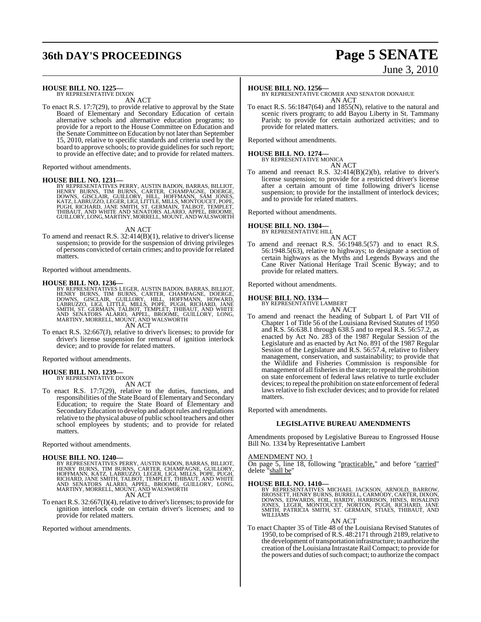## **36th DAY'S PROCEEDINGS Page 5 SENATE**

# June 3, 2010

#### **HOUSE BILL NO. 1225—**

BY REPRESENTATIVE DIXON AN ACT

To enact R.S. 17:7(29), to provide relative to approval by the State Board of Elementary and Secondary Education of certain alternative schools and alternative education programs; to provide for a report to the House Committee on Education and the Senate Committee on Education by not later than September 15, 2010, relative to specific standards and criteria used by the board to approve schools; to provide guidelines for such report; to provide an effective date; and to provide for related matters.

Reported without amendments.

#### **HOUSE BILL NO. 1231—**

BY REPRESENTATIVES PERRY, AUSTIN BADON, BARRAS, BILLIOT,<br>HENRY BURNS, TIM BURNS, CARTER, CHAMPAGNE, DOERGE,<br>DOWNS, GISCLAIR, GUILLORY, HILL, HOFFMANN, SAM JONES,<br>KATZ, LABRUZZO, LEGER, LIGI, LITTLE, MILLS, MONTOUCET, POPE, GUILLORY, LONG, MARTINY, MORRELL, MOUNT, AND WALSWORTH

#### AN ACT

To amend and reenact R.S. 32:414(B)(1), relative to driver's license suspension; to provide for the suspension of driving privileges of persons convicted of certain crimes; and to provide forrelated matters.

Reported without amendments.

**HOUSE BILL NO. 1236**—<br>BY REPRESENTATIVES LEGER, AUSTIN BADON, BARRAS, BILLIOT, HENRY BURNS, TIM BURNS, CARTER, CHAMPAGNE, DOERGE,<br>DOWNS, GISCLAIR, GUILLORY, HILL, HOFFMANN, HOWARD,<br>LABRUZZO, LIGI, LITTLE, MILLS, POPE, PUG AN ACT

To enact R.S. 32:667(J), relative to driver's licenses; to provide for driver's license suspension for removal of ignition interlock device; and to provide for related matters.

Reported without amendments.

#### **HOUSE BILL NO. 1239—** BY REPRESENTATIVE DIXON

AN ACT

To enact R.S. 17:7(29), relative to the duties, functions, and responsibilities of the State Board of Elementary and Secondary Education; to require the State Board of Elementary and SecondaryEducation to develop and adoptrules and regulations relative to the physical abuse of public school teachers and other school employees by students; and to provide for related matters.

Reported without amendments.

#### **HOUSE BILL NO. 1240—**

BY REPRESENTATIVES PERRY, AUSTIN BADON, BARRAS, BILLIOT,<br>HENRY BURNS, TIM BURNS, CARTER, CHAMPAGNE, GUILLORY,<br>HOFFMANN, KATZ, LABRUZZO, LEGER, LIGI, MILLS, POPE, PUGH,<br>RICHARD, JANE SMITH, TALBOT, TEMPLET, THIBAUT, AND WHI AN ACT

To enact R.S. 32:667(I)(4), relative to driver'slicenses; to provide for ignition interlock code on certain driver's licenses; and to provide for related matters.

Reported without amendments.

**HOUSE BILL NO. 1256—** BY REPRESENTATIVE CROMER AND SENATOR DONAHUE AN ACT

To enact R.S. 56:1847(64) and 1855(N), relative to the natural and scenic rivers program; to add Bayou Liberty in St. Tammany Parish; to provide for certain authorized activities; and to provide for related matters.

Reported without amendments.

### **HOUSE BILL NO. 1274—** BY REPRESENTATIVE MONICA

AN ACT

To amend and reenact R.S. 32:414(B)(2)(b), relative to driver's license suspension; to provide for a restricted driver's license after a certain amount of time following driver's license suspension; to provide for the installment of interlock devices; and to provide for related matters.

Reported without amendments.

#### **HOUSE BILL NO. 1304—** BY REPRESENTATIVE HILL

AN ACT

To amend and reenact R.S. 56:1948.5(57) and to enact R.S. 56:1948.5(63), relative to highways; to designate a section of certain highways as the Myths and Legends Byways and the Cane River National Heritage Trail Scenic Byway; and to provide for related matters.

Reported without amendments.

#### **HOUSE BILL NO. 1334—**

BY REPRESENTATIVE LAMBERT AN ACT

To amend and reenact the heading of Subpart L of Part VII of Chapter 1 of Title 56 of the Louisiana Revised Statutes of 1950 and R.S. 56:638.1 through 638.5 and to repeal R.S. 56:57.2, as enacted by Act No. 283 of the 1987 Regular Session of the Legislature and as enacted by Act No. 891 of the 1987 Regular Session of the Legislature and R.S. 56:57.4, relative to fishery management, conservation, and sustainability; to provide that the Wildlife and Fisheries Commission is responsible for management of all fisheries in the state; to repeal the prohibition on state enforcement of federal laws relative to turtle excluder devices; to repeal the prohibition on state enforcement of federal laws relative to fish excluder devices; and to provide for related matters.

Reported with amendments.

#### **LEGISLATIVE BUREAU AMENDMENTS**

Amendments proposed by Legislative Bureau to Engrossed House Bill No. 1334 by Representative Lambert

#### AMENDMENT NO. 1

On page 5, line 18, following "practicable," and before "carried" delete "shall be"

**HOUSE BILL NO. 1410—**<br>BY REPRESENTATIVES MICHAEL JACKSON, ARNOLD, BARROW,<br>BROSSETT, HENRY BURNS, BURRELL, CARMODY, CARTER, DIXON,<br>DOWNS, EDWARDS, FOIL, HARDY, HARRISON, HINES, ROSALIND<br>JONES, LEGER, MONTOUCET, NORTON, PUG

AN ACT

To enact Chapter 35 of Title 48 of the Louisiana Revised Statutes of 1950, to be comprised of R.S. 48:2171 through 2189, relative to the development of transportation infrastructure; to authorize the creation of the Louisiana Intrastate Rail Compact; to provide for the powers and duties of such compact; to authorize the compact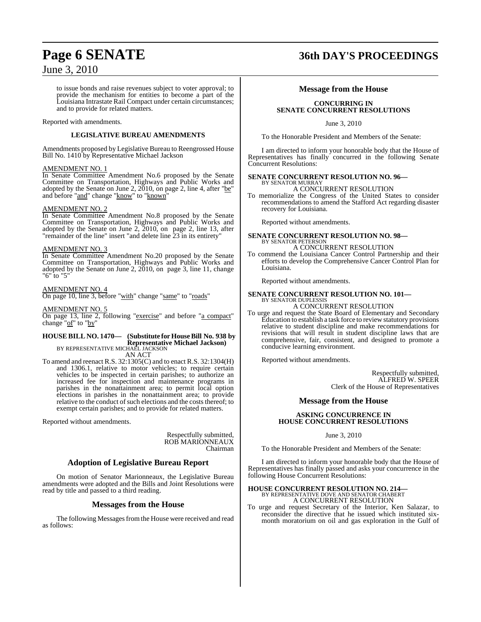## **Page 6 SENATE 36th DAY'S PROCEEDINGS**

### June 3, 2010

to issue bonds and raise revenues subject to voter approval; to provide the mechanism for entities to become a part of the Louisiana Intrastate Rail Compact under certain circumstances; and to provide for related matters.

Reported with amendments.

#### **LEGISLATIVE BUREAU AMENDMENTS**

Amendments proposed by Legislative Bureau to Reengrossed House Bill No. 1410 by Representative Michael Jackson

#### AMENDMENT NO. 1

In Senate Committee Amendment No.6 proposed by the Senate Committee on Transportation, Highways and Public Works and adopted by the Senate on June 2, 2010, on page 2, line 4, after "be" and before "and" change "know" to "known"

#### AMENDMENT NO. 2

In Senate Committee Amendment No.8 proposed by the Senate Committee on Transportation, Highways and Public Works and adopted by the Senate on June 2, 2010, on page 2, line 13, after "remainder of the line" insert "and delete line 23 in its entirety"

#### AMENDMENT NO. 3

In Senate Committee Amendment No.20 proposed by the Senate Committee on Transportation, Highways and Public Works and adopted by the Senate on June 2, 2010, on page 3, line 11, change "6" to "5"

#### AMENDMENT NO. 4

On page 10, line 3, before "with" change "same" to "roads"

#### AMENDMENT NO. 5

On page 13, line 2, following "exercise" and before "a compact" change "of" to "by"

### **HOUSE BILL NO. 1470— (Substitute for HouseBill No. 938 by Representative Michael Jackson)** BY REPRESENTATIVE MICHAEL JACKSON

AN ACT

To amend and reenact R.S. 32:1305(C) and to enact R.S. 32:1304(H) and 1306.1, relative to motor vehicles; to require certain vehicles to be inspected in certain parishes; to authorize an increased fee for inspection and maintenance programs in parishes in the nonattainment area; to permit local option elections in parishes in the nonattainment area; to provide relative to the conduct of such elections and the costs thereof; to exempt certain parishes; and to provide for related matters.

Reported without amendments.

Respectfully submitted, ROB MARIONNEAUX Chairman

#### **Adoption of Legislative Bureau Report**

On motion of Senator Marionneaux, the Legislative Bureau amendments were adopted and the Bills and Joint Resolutions were read by title and passed to a third reading.

#### **Messages from the House**

The following Messages from the House were received and read as follows:

#### **Message from the House**

#### **CONCURRING IN SENATE CONCURRENT RESOLUTIONS**

June 3, 2010

To the Honorable President and Members of the Senate:

I am directed to inform your honorable body that the House of Representatives has finally concurred in the following Senate Concurrent Resolutions:

#### **SENATE CONCURRENT RESOLUTION NO. 96—** BY SENATOR MURRAY

### A CONCURRENT RESOLUTION

To memorialize the Congress of the United States to consider recommendations to amend the Stafford Act regarding disaster recovery for Louisiana.

Reported without amendments.

#### **SENATE CONCURRENT RESOLUTION NO. 98—** BY SENATOR PETERSON

A CONCURRENT RESOLUTION

To commend the Louisiana Cancer Control Partnership and their efforts to develop the Comprehensive Cancer Control Plan for Louisiana.

Reported without amendments.

#### **SENATE CONCURRENT RESOLUTION NO. 101—** BY SENATOR DUPLESSIS A CONCURRENT RESOLUTION

To urge and request the State Board of Elementary and Secondary Education to establish a task force to review statutory provisions relative to student discipline and make recommendations for revisions that will result in student discipline laws that are comprehensive, fair, consistent, and designed to promote a conducive learning environment.

Reported without amendments.

Respectfully submitted, ALFRED W. SPEER Clerk of the House of Representatives

#### **Message from the House**

#### **ASKING CONCURRENCE IN HOUSE CONCURRENT RESOLUTIONS**

#### June 3, 2010

To the Honorable President and Members of the Senate:

I am directed to inform your honorable body that the House of Representatives has finally passed and asks your concurrence in the following House Concurrent Resolutions:

### **HOUSE CONCURRENT RESOLUTION NO. 214—** BY REPRESENTATIVE DOVE AND SENATOR CHABERT A CONCURRENT RESOLUTION

To urge and request Secretary of the Interior, Ken Salazar, to reconsider the directive that he issued which instituted sixmonth moratorium on oil and gas exploration in the Gulf of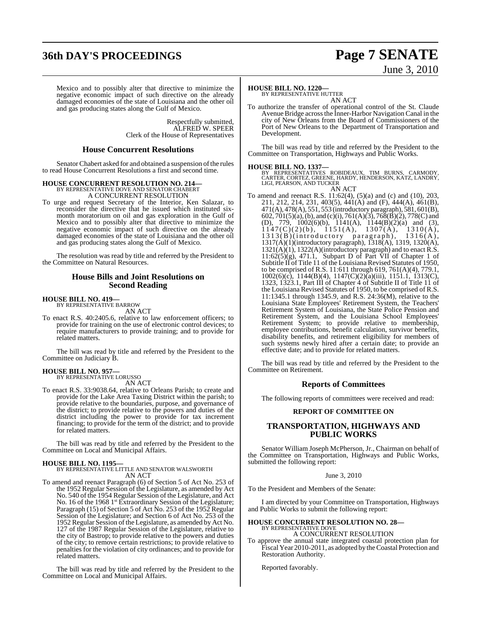### **36th DAY'S PROCEEDINGS Page 7 SENATE**

# June 3, 2010

Mexico and to possibly alter that directive to minimize the negative economic impact of such directive on the already damaged economies of the state of Louisiana and the other oil and gas producing states along the Gulf of Mexico.

> Respectfully submitted, ALFRED W. SPEER Clerk of the House of Representatives

#### **House Concurrent Resolutions**

Senator Chabert asked for and obtained a suspension of the rules to read House Concurrent Resolutions a first and second time.

### **HOUSE CONCURRENT RESOLUTION NO. 214—** BY REPRESENTATIVE DOVE AND SENATOR CHABERT

A CONCURRENT RESOLUTION

To urge and request Secretary of the Interior, Ken Salazar, to reconsider the directive that he issued which instituted sixmonth moratorium on oil and gas exploration in the Gulf of Mexico and to possibly alter that directive to minimize the negative economic impact of such directive on the already damaged economies of the state of Louisiana and the other oil and gas producing states along the Gulf of Mexico.

The resolution was read by title and referred by the President to the Committee on Natural Resources.

#### **House Bills and Joint Resolutions on Second Reading**

### **HOUSE BILL NO. 419—** BY REPRESENTATIVE BARROW

AN ACT

To enact R.S. 40:2405.6, relative to law enforcement officers; to provide for training on the use of electronic control devices; to require manufacturers to provide training; and to provide for related matters.

The bill was read by title and referred by the President to the Committee on Judiciary B.

#### **HOUSE BILL NO. 957—** BY REPRESENTATIVE LORUSSO

AN ACT

To enact R.S. 33:9038.64, relative to Orleans Parish; to create and provide for the Lake Area Taxing District within the parish; to provide relative to the boundaries, purpose, and governance of the district; to provide relative to the powers and duties of the district including the power to provide for tax increment financing; to provide for the term of the district; and to provide for related matters.

The bill was read by title and referred by the President to the Committee on Local and Municipal Affairs.

#### **HOUSE BILL NO. 1195—**

## BY REPRESENTATIVE LITTLE AND SENATOR WALSWORTH AN ACT

To amend and reenact Paragraph (6) of Section 5 of Act No. 253 of the 1952 Regular Session of the Legislature, as amended by Act No. 540 of the 1954 Regular Session of the Legislature, and Act No. 16 of the 1968 1<sup>st</sup> Extraordinary Session of the Legislature; Paragraph (15) of Section 5 of Act No. 253 of the 1952 Regular Session of the Legislature; and Section 6 of Act No. 253 of the 1952 Regular Session ofthe Legislature, as amended by Act No. 127 of the 1987 Regular Session of the Legislature, relative to the city of Bastrop; to provide relative to the powers and duties of the city; to remove certain restrictions; to provide relative to penalties for the violation of city ordinances; and to provide for related matters.

The bill was read by title and referred by the President to the Committee on Local and Municipal Affairs.

#### **HOUSE BILL NO. 1220—**

BY REPRESENTATIVE HUTTER AN ACT

To authorize the transfer of operational control of the St. Claude Avenue Bridge acrossthe Inner-Harbor Navigation Canal in the city of New Orleans from the Board of Commissioners of the Port of New Orleans to the Department of Transportation and Development.

The bill was read by title and referred by the President to the Committee on Transportation, Highways and Public Works.

#### **HOUSE BILL NO. 1337—**

BY REPRESENTATIVES ROBIDEAUX, TIM BURNS, CARMODY,<br>CARTER,CORTEZ,GREENE,HARDY,HENDERSON,KATZ,LANDRY,<br>LIGI,PEARSON,AND TUCKER AN ACT

To amend and reenact R.S. 11:62(4), (5)(a) and (c) and (10), 203, 211, 212, 214, 231, 403(5), 441(A) and (F), 444(A), 461(B), 471(A), 478(A), 551, 553 (introductory paragraph), 581, 601(B), 602, 701(5)(a),(b), and (c)(i), 761(A)(3), 768(B)(2), 778(C) and (D), 779, 1002(6)(b), 1141(A), 1144(B)(2)(a) and (3),  $1147(C)(2)(b)$ ,  $1151(A)$ ,  $1307(A)$ ,  $1310(A)$ , 1313(B)(introductory paragraph), 1316(A), 1317(A)(1)(introductory paragraph), 1318(A), 1319, 1320(A), 1321(A)(1), 1322(A)(introductory paragraph) and to enact R.S.  $11:62(5)(g)$ , 471.1, Subpart D of Part VII of Chapter 1 of Subtitle II of Title 11 of the Louisiana Revised Statutes of 1950, to be comprised of R.S. 11:611 through 619, 761(A)(4), 779.1, 1002(6)(c), 1144(B)(4), 1147(C)(2)(a)(iii), 1151.1, 1313(C), 1323, 1323.1, Part III of Chapter 4 of Subtitle II of Title 11 of the Louisiana Revised Statutes of 1950, to be comprised of R.S. 11:1345.1 through 1345.9, and R.S. 24:36(M), relative to the Louisiana State Employees' Retirement System, the Teachers' Retirement System of Louisiana, the State Police Pension and Retirement System, and the Louisiana School Employees' Retirement System; to provide relative to membership, employee contributions, benefit calculation, survivor benefits, disability benefits, and retirement eligibility for members of such systems newly hired after a certain date; to provide an effective date; and to provide for related matters.

The bill was read by title and referred by the President to the Committee on Retirement.

#### **Reports of Committees**

The following reports of committees were received and read:

#### **REPORT OF COMMITTEE ON**

#### **TRANSPORTATION, HIGHWAYS AND PUBLIC WORKS**

Senator William Joseph McPherson, Jr., Chairman on behalf of the Committee on Transportation, Highways and Public Works, submitted the following report:

#### June 3, 2010

To the President and Members of the Senate:

I am directed by your Committee on Transportation, Highways and Public Works to submit the following report:

### **HOUSE CONCURRENT RESOLUTION NO. 28—** BY REPRESENTATIVE DOVE

A CONCURRENT RESOLUTION

To approve the annual state integrated coastal protection plan for Fiscal Year 2010-2011, as adopted by the Coastal Protection and Restoration Authority.

Reported favorably.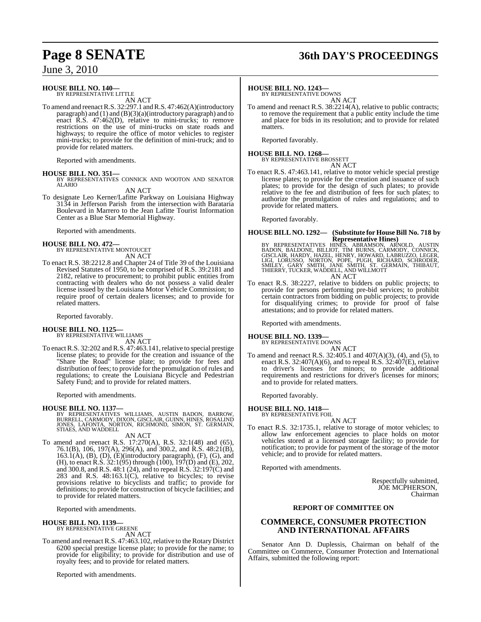### June 3, 2010

### **HOUSE BILL NO. 140—**

BY REPRESENTATIVE LITTLE AN ACT

To amend and reenactR.S. 32:297.1 and R.S. 47:462(A)(introductory paragraph) and  $(1)$  and  $(B)(3)(a)$ (introductory paragraph) and to enact R.S. 47:462(D), relative to mini-trucks; to remove restrictions on the use of mini-trucks on state roads and highways; to require the office of motor vehicles to register mini-trucks; to provide for the definition of mini-truck; and to provide for related matters.

Reported with amendments.

**HOUSE BILL NO. 351—** BY REPRESENTATIVES CONNICK AND WOOTON AND SENATOR ALARIO

AN ACT

To designate Leo Kerner/Lafitte Parkway on Louisiana Highway 3134 in Jefferson Parish from the intersection with Barataria Boulevard in Marrero to the Jean Lafitte Tourist Information Center as a Blue Star Memorial Highway.

Reported with amendments.

# **HOUSE BILL NO. 472—** BY REPRESENTATIVE MONTOUCET

AN ACT

To enact R.S. 38:2212.8 and Chapter 24 of Title 39 of the Louisiana Revised Statutes of 1950, to be comprised of R.S. 39:2181 and 2182, relative to procurement; to prohibit public entities from contracting with dealers who do not possess a valid dealer license issued by the Louisiana Motor Vehicle Commission; to require proof of certain dealers licenses; and to provide for related matters.

Reported favorably.

#### **HOUSE BILL NO. 1125—** BY REPRESENTATIVE WILLIAMS

AN ACT

To enact R.S. 32:202 and R.S. 47:463.141, relative to special prestige license plates; to provide for the creation and issuance of the "Share the Road" license plate; to provide for fees and distribution of fees; to provide for the promulgation of rules and regulations; to create the Louisiana Bicycle and Pedestrian Safety Fund; and to provide for related matters.

Reported with amendments.

#### **HOUSE BILL NO. 1137—**

BY REPRESENTATIVES WILLIAMS, AUSTIN BADON, BARROW,<br>BURRELL, CARMODY, DIXON, GISCLAIR, GUINN, HINES, ROSALIND<br>JONES, LAFONTA, NORTON, RICHMOND, SIMON, ST. GERMAIN,<br>STIAES, AND WADDELL AN ACT

To amend and reenact R.S. 17:270(A), R.S. 32:1(48) and (65), 76.1(B), 106, 197(A), 296(A), and 300.2, and R.S. 48:21(B), 163.1(A), (B), (D), (E)(introductory paragraph), (F), (G), and (H), to enact R.S.  $32:1(95)$  through  $(100)$ ,  $197(D)$  and  $(E)$ , 202, and 300.8, and R.S. 48:1 (24), and to repeal R.S. 32:197(C) and 283 and R.S. 48:163.1(C), relative to bicycles; to revise provisions relative to bicyclists and traffic; to provide for definitions; to provide for construction of bicycle facilities; and to provide for related matters.

Reported with amendments.

#### **HOUSE BILL NO. 1139—** BY REPRESENTATIVE GREENE

AN ACT

To amend and reenact R.S. 47:463.102, relative to the Rotary District 6200 special prestige license plate; to provide for the name; to provide for eligibility; to provide for distribution and use of royalty fees; and to provide for related matters.

Reported with amendments.

# **Page 8 SENATE 36th DAY'S PROCEEDINGS**

#### **HOUSE BILL NO. 1243—**

BY REPRESENTATIVE DOWNS AN ACT

To amend and reenact R.S. 38:2214(A), relative to public contracts; to remove the requirement that a public entity include the time and place for bids in its resolution; and to provide for related matters

Reported favorably.

### **HOUSE BILL NO. 1268—** BY REPRESENTATIVE BROSSETT

AN ACT

To enact R.S. 47:463.141, relative to motor vehicle special prestige license plates; to provide for the creation and issuance of such plates; to provide for the design of such plates; to provide relative to the fee and distribution of fees for such plates; to authorize the promulgation of rules and regulations; and to provide for related matters.

Reported favorably.

### **HOUSE BILL NO. 1292— (Substitute for HouseBill No. 718 by Representative Hines)**

BY REPRESENTATIVES HINÈS, ABRAMSON, ARNOLD, AUSTIN<br>BADON, BALDONE, BILLIOT, TIM BURNS, CARMODY, CONNICK,<br>GISCLAIR, HARDY, HAZEL, HENRY, HOWARD, LABRUZZO, LEGER,<br>LIGI, LORUSSO, NORTON, POPE, PUGH, RICHARD, SCHRODER,<br>SMILEY,

To enact R.S. 38:2227, relative to bidders on public projects; to provide for persons performing pre-bid services; to prohibit certain contractors from bidding on public projects; to provide for disqualifying crimes; to provide for proof of false attestations; and to provide for related matters.

Reported with amendments.

# **HOUSE BILL NO. 1339—** BY REPRESENTATIVE DOWNS

and to provide for related matters.

AN ACT To amend and reenact R.S. 32:405.1 and 407(A)(3), (4), and (5), to enact R.S. 32:407(A)(6), and to repeal R.S. 32:407(E), relative to driver's licenses for minors; to provide additional

requirements and restrictions for driver's licenses for minors;

Reported favorably.

#### **HOUSE BILL NO. 1418—**

BY REPRESENTATIVE FOIL AN ACT

To enact R.S. 32:1735.1, relative to storage of motor vehicles; to allow law enforcement agencies to place holds on motor vehicles stored at a licensed storage facility; to provide for notification; to provide for payment of the storage of the motor vehicle; and to provide for related matters.

Reported with amendments.

Respectfully submitted, JOE MCPHERSON, Chairman

#### **REPORT OF COMMITTEE ON**

### **COMMERCE, CONSUMER PROTECTION AND INTERNATIONAL AFFAIRS**

Senator Ann D. Duplessis, Chairman on behalf of the Committee on Commerce, Consumer Protection and International Affairs, submitted the following report: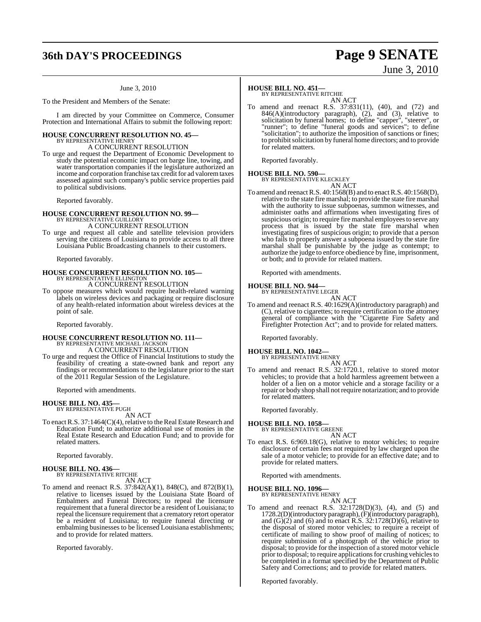# **36th DAY'S PROCEEDINGS Page 9 SENATE**

#### June 3, 2010

To the President and Members of the Senate:

I am directed by your Committee on Commerce, Consumer Protection and International Affairs to submit the following report:

#### **HOUSE CONCURRENT RESOLUTION NO. 45—** BY REPRESENTATIVE HENRY

A CONCURRENT RESOLUTION

To urge and request the Department of Economic Development to study the potential economic impact on barge line, towing, and water transportation companies if the legislature authorized an income and corporation franchise tax credit for ad valorem taxes assessed against such company's public service properties paid to political subdivisions.

Reported favorably.

# **HOUSE CONCURRENT RESOLUTION NO. 99—** BY REPRESENTATIVE GUILLORY

A CONCURRENT RESOLUTION

To urge and request all cable and satellite television providers serving the citizens of Louisiana to provide access to all three Louisiana Public Broadcasting channels to their customers.

Reported favorably.

### **HOUSE CONCURRENT RESOLUTION NO. 105—** BY REPRESENTATIVE ELLINGTON A CONCURRENT RESOLUTION

To oppose measures which would require health-related warning labels on wireless devices and packaging or require disclosure of any health-related information about wireless devices at the point of sale.

Reported favorably.

### **HOUSE CONCURRENT RESOLUTION NO. 111—** BY REPRESENTATIVE MICHAEL JACKSON A CONCURRENT RESOLUTION

To urge and request the Office of Financial Institutions to study the feasibility of creating a state-owned bank and report any findings or recommendations to the legislature prior to the start of the 2011 Regular Session of the Legislature.

Reported with amendments.

### **HOUSE BILL NO. 435—** BY REPRESENTATIVE PUGH

AN ACT

To enact R.S. 37:1464(C)(4), relative to the Real Estate Research and Education Fund; to authorize additional use of monies in the Real Estate Research and Education Fund; and to provide for related matters.

Reported favorably.

## **HOUSE BILL NO. 436—** BY REPRESENTATIVE RITCHIE

AN ACT

To amend and reenact R.S. 37:842(A)(1), 848(C), and 872(B)(1), relative to licenses issued by the Louisiana State Board of Embalmers and Funeral Directors; to repeal the licensure requirement that a funeral director be a resident of Louisiana; to repeal the licensure requirement that a crematory retort operator be a resident of Louisiana; to require funeral directing or embalming businesses to be licensed Louisiana establishments; and to provide for related matters.

Reported favorably.

### **HOUSE BILL NO. 451—**

BY REPRESENTATIVE RITCHIE AN ACT

To amend and reenact R.S. 37:831(11), (40), and (72) and 846(A)(introductory paragraph), (2), and (3), relative to solicitation by funeral homes; to define "capper", "steerer", or "runner"; to define "funeral goods and services"; to define "solicitation"; to authorize the imposition of sanctions or fines; to prohibitsolicitation by funeral home directors; and to provide for related matters.

Reported favorably.

### **HOUSE BILL NO. 590—** BY REPRESENTATIVE KLECKLEY

AN ACT

To amend and reenactR.S. 40:1568(B) and to enactR.S. 40:1568(D), relative to the state fire marshal; to provide the state fire marshal with the authority to issue subpoenas, summon witnesses, and administer oaths and affirmations when investigating fires of suspicious origin; to require fire marshal employees to serve any process that is issued by the state fire marshal when investigating fires of suspicious origin; to provide that a person who fails to properly answer a subpoena issued by the state fire marshal shall be punishable by the judge as contempt; to authorize the judge to enforce obedience by fine, imprisonment, or both; and to provide for related matters.

Reported with amendments.

#### **HOUSE BILL NO. 944—**

BY REPRESENTATIVE LEGER AN ACT

To amend and reenact R.S. 40:1629(A)(introductory paragraph) and (C), relative to cigarettes; to require certification to the attorney general of compliance with the "Cigarette Fire Safety and Firefighter Protection Act"; and to provide for related matters.

Reported favorably.

### **HOUSE BILL NO. 1042—** BY REPRESENTATIVE HENRY

AN ACT

To amend and reenact R.S. 32:1720.1, relative to stored motor vehicles; to provide that a hold harmless agreement between a holder of a lien on a motor vehicle and a storage facility or a repair or body shop shall not require notarization; and to provide for related matters.

Reported favorably.

#### **HOUSE BILL NO. 1058—**

BY REPRESENTATIVE GREENE AN ACT

To enact R.S. 6:969.18(G), relative to motor vehicles; to require disclosure of certain fees not required by law charged upon the sale of a motor vehicle; to provide for an effective date; and to provide for related matters.

Reported with amendments.

#### **HOUSE BILL NO. 1096—** BY REPRESENTATIVE HENRY

AN ACT

To amend and reenact R.S. 32:1728(D)(3), (4), and (5) and 1728.2(D)(introductory paragraph), (F)(introductory paragraph), and  $(G)(2)$  and  $(6)$  and to enact R.S. 32:1728 $(D)(6)$ , relative to the disposal of stored motor vehicles; to require a receipt of certificate of mailing to show proof of mailing of notices; to require submission of a photograph of the vehicle prior to disposal; to provide for the inspection of a stored motor vehicle prior to disposal; to require applications for crushing vehicles to be completed in a format specified by the Department of Public Safety and Corrections; and to provide for related matters.

Reported favorably.

June 3, 2010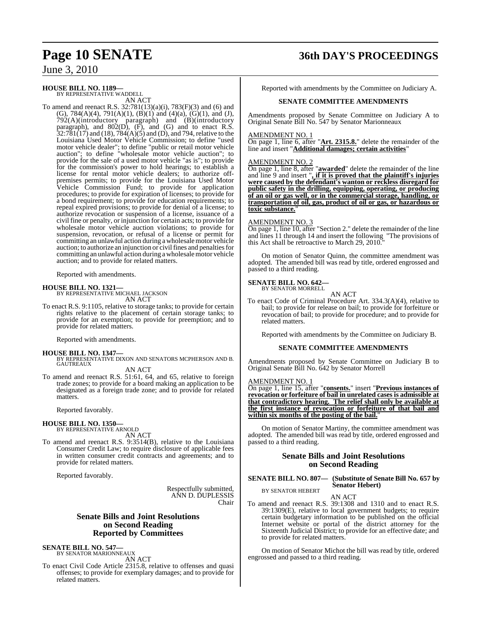### **Page 10 SENATE 36th DAY'S PROCEEDINGS**

June 3, 2010

#### **HOUSE BILL NO. 1189—**

BY REPRESENTATIVE WADDELL AN ACT

To amend and reenact R.S. 32:781(13)(a)(i), 783(F)(3) and (6) and (G), 784(A)(4), 791(A)(1), (B)(1) and (4)(a), (G)(1), and (J), 792(A)(introductory paragraph) and (B)(introductory paragraph), and  $802(D)$ ,  $(F)$ , and  $(G)$  and to enact R.S.  $32:781(17)$  and  $(18)$ ,  $784(A)(5)$  and  $(D)$ , and 794, relative to the Louisiana Used Motor Vehicle Commission; to define "used motor vehicle dealer"; to define "public or retail motor vehicle auction"; to define "wholesale motor vehicle auction"; to provide for the sale of a used motor vehicle "as is"; to provide for the commission's power to hold hearings; to establish a license for rental motor vehicle dealers; to authorize offpremises permits; to provide for the Louisiana Used Motor Vehicle Commission Fund; to provide for application procedures; to provide for expiration of licenses; to provide for a bond requirement; to provide for education requirements; to repeal expired provisions; to provide for denial of a license; to authorize revocation or suspension of a license, issuance of a civil fine or penalty, or injunction for certain acts; to provide for wholesale motor vehicle auction violations; to provide for suspension, revocation, or refusal of a license or permit for committing an unlawful action during a wholesale motor vehicle auction; to authorize an injunction or civil fines and penalties for committing an unlawful action during awholesalemotor vehicle auction; and to provide for related matters.

Reported with amendments.

**HOUSE BILL NO. 1321—** BY REPRESENTATIVE MICHAEL JACKSON AN ACT

To enact R.S. 9:1105, relative to storage tanks; to provide for certain rights relative to the placement of certain storage tanks; to provide for an exemption; to provide for preemption; and to provide for related matters.

Reported with amendments.

**HOUSE BILL NO. 1347—** BY REPRESENTATIVE DIXON AND SENATORS MCPHERSON AND B. GAUTREAUX

AN ACT

To amend and reenact R.S. 51:61, 64, and 65, relative to foreign trade zones; to provide for a board making an application to be designated as a foreign trade zone; and to provide for related matters.

Reported favorably.

#### **HOUSE BILL NO. 1350—**

BY REPRESENTATIVE ARNOLD AN ACT

To amend and reenact R.S. 9:3514(B), relative to the Louisiana Consumer Credit Law; to require disclosure of applicable fees in written consumer credit contracts and agreements; and to provide for related matters.

Reported favorably.

Respectfully submitted, ANN D. DUPLESSIS Chair

#### **Senate Bills and Joint Resolutions on Second Reading Reported by Committees**

### **SENATE BILL NO. 547—** BY SENATOR MARIONNEAUX

AN ACT

To enact Civil Code Article 2315.8, relative to offenses and quasi offenses; to provide for exemplary damages; and to provide for related matters.

Reported with amendments by the Committee on Judiciary A.

#### **SENATE COMMITTEE AMENDMENTS**

Amendments proposed by Senate Committee on Judiciary A to Original Senate Bill No. 547 by Senator Marionneaux

#### AMENDMENT NO. 1

On page 1, line 6, after "**Art. 2315.8.**" delete the remainder of the line and insert "**Additional damages; certain activities**"

#### AMENDMENT NO. 2

On page 1, line 8, after "**awarded**" delete the remainder of the line and line 9 and insert "**, if it is proved that the plaintiff's injuries were caused by the defendant's wanton or reckless disregard for public safety in the drilling, equipping, operating, or producing of an oil or gas well, or in the commercial storage, handling, or transportation of oil, gas, product of oil or gas, or hazardous or toxic substance.**"

#### AMENDMENT NO. 3

On page 1, line 10, after "Section 2." delete the remainder of the line and lines 11 through 14 and insert the following "The provisions of this Act shall be retroactive to March 29, 2010."

On motion of Senator Quinn, the committee amendment was adopted. The amended bill was read by title, ordered engrossed and passed to a third reading.

### **SENATE BILL NO. 642—** BY SENATOR MORRELL

AN ACT

To enact Code of Criminal Procedure Art. 334.3(A)(4), relative to bail; to provide for release on bail; to provide for forfeiture or revocation of bail; to provide for procedure; and to provide for related matters.

Reported with amendments by the Committee on Judiciary B.

#### **SENATE COMMITTEE AMENDMENTS**

Amendments proposed by Senate Committee on Judiciary B to Original Senate Bill No. 642 by Senator Morrell

#### AMENDMENT NO. 1

On page 1, line 15, after "**consents.**" insert "**Previous instances of revocation or forfeiture of bail in unrelated cases is admissible at that contradictory hearing. The relief shall only be available at the first instance of revocation or forfeiture of that bail and within six months of the posting of the bail.**"

On motion of Senator Martiny, the committee amendment was adopted. The amended bill was read by title, ordered engrossed and passed to a third reading.

#### **Senate Bills and Joint Resolutions on Second Reading**

#### **SENATE BILL NO. 807— (Substitute of Senate Bill No. 657 by Senator Hebert)**

BY SENATOR HEBERT

AN ACT To amend and reenact R.S. 39:1308 and 1310 and to enact R.S. 39:1309(E), relative to local government budgets; to require certain budgetary information to be published on the official Internet website or portal of the district attorney for the Sixteenth Judicial District; to provide for an effective date; and to provide for related matters.

On motion of Senator Michot the bill was read by title, ordered engrossed and passed to a third reading.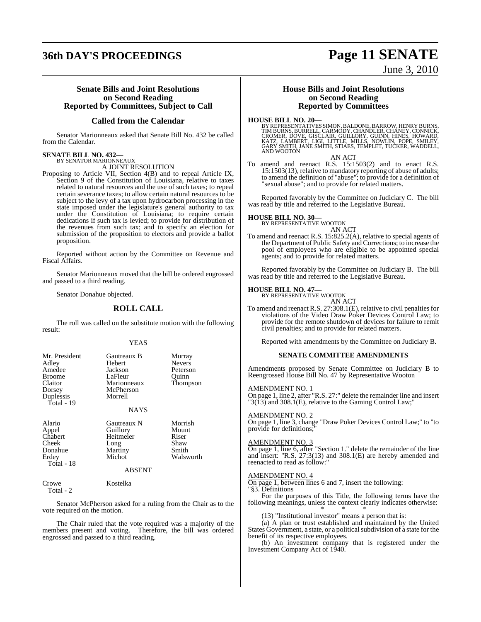# **36th DAY'S PROCEEDINGS Page 11 SENATE**

# June 3, 2010

#### **Senate Bills and Joint Resolutions on Second Reading Reported by Committees, Subject to Call**

### **Called from the Calendar**

Senator Marionneaux asked that Senate Bill No. 432 be called from the Calendar.

### **SENATE BILL NO. 432—** BY SENATOR MARIONNEAUX

A JOINT RESOLUTION

Proposing to Article VII, Section 4(B) and to repeal Article IX, Section 9 of the Constitution of Louisiana, relative to taxes related to natural resources and the use of such taxes; to repeal certain severance taxes; to allow certain natural resources to be subject to the levy of a tax upon hydrocarbon processing in the state imposed under the legislature's general authority to tax under the Constitution of Louisiana; to require certain dedications if such tax is levied; to provide for distribution of the revenues from such tax; and to specify an election for submission of the proposition to electors and provide a ballot proposition.

Reported without action by the Committee on Revenue and Fiscal Affairs.

Senator Marionneaux moved that the bill be ordered engrossed and passed to a third reading.

Senator Donahue objected.

#### **ROLL CALL**

The roll was called on the substitute motion with the following result:

#### YEAS

| Mr. President<br>Adley<br>Amedee<br><b>Broome</b><br>Claitor<br>Dorsey<br>Duplessis<br>Total - 19 | Gautreaux B<br><b>Hebert</b><br>Jackson<br>LaFleur<br>Marionneaux<br>McPherson<br>Morrell<br><b>NAYS</b> | Murray<br><b>Nevers</b><br>Peterson<br>Ouinn<br>Thompson |
|---------------------------------------------------------------------------------------------------|----------------------------------------------------------------------------------------------------------|----------------------------------------------------------|
| Alario<br>Appel<br>Chabert<br>Cheek<br>Donahue<br>Erdey<br>Total - 18                             | Gautreaux N<br>Guillory<br>Heitmeier<br>Long<br>Martiny<br>Michot<br><b>ABSENT</b>                       | Morrish<br>Mount<br>Riser<br>Shaw<br>Smith<br>Walsworth  |
| Crowe<br>Total - $2$                                                                              | Kostelka                                                                                                 |                                                          |

Senator McPherson asked for a ruling from the Chair as to the vote required on the motion.

The Chair ruled that the vote required was a majority of the members present and voting. Therefore, the bill was ordered engrossed and passed to a third reading.

#### **House Bills and Joint Resolutions on Second Reading Reported by Committees**

**HOUSE BILL NO. 20—**<br>BY REPRESENTATIVES SIMON, BALDONE, BARROW, HENRY BURNS, TIM BURNS, BURRELL, CARMODY, CHANDLER, CHANEY, CONNICK,<br>CROMER, DOVE, GISCLAIR, GUILLORY, GUINN, HINES, HOWARD,<br>KATZ, LAMBERT, LIGI, LITTLE, MILL

AN ACT

To amend and reenact R.S. 15:1503(2) and to enact R.S. 15:1503(13), relative to mandatory reporting of abuse of adults; to amend the definition of "abuse"; to provide for a definition of "sexual abuse"; and to provide for related matters.

Reported favorably by the Committee on Judiciary C. The bill was read by title and referred to the Legislative Bureau.

#### **HOUSE BILL NO. 30—**

BY REPRESENTATIVE WOOTON AN ACT

To amend and reenact R.S. 15:825.2(A), relative to special agents of the Department of Public Safety and Corrections; to increase the pool of employees who are eligible to be appointed special agents; and to provide for related matters.

Reported favorably by the Committee on Judiciary B. The bill was read by title and referred to the Legislative Bureau.

#### **HOUSE BILL NO. 47—**

BY REPRESENTATIVE WOOTON AN ACT

To amend and reenact R.S.  $27:308.1(E)$ , relative to civil penalties for violations of the Video Draw Poker Devices Control Law; to provide for the remote shutdown of devices for failure to remit civil penalties; and to provide for related matters.

Reported with amendments by the Committee on Judiciary B.

#### **SENATE COMMITTEE AMENDMENTS**

Amendments proposed by Senate Committee on Judiciary B to Reengrossed House Bill No. 47 by Representative Wooton

#### AMENDMENT NO. 1

On page 1, line 2, after "R.S. 27:" delete the remainder line and insert "3(13) and 308.1(E), relative to the Gaming Control Law;"

#### AMENDMENT NO. 2

On page 1, line 3, change "Draw Poker Devices Control Law;" to "to provide for definitions;

#### AMENDMENT NO. 3

On page 1, line 6, after "Section 1." delete the remainder of the line and insert: "R.S. 27:3(13) and 308.1(E) are hereby amended and reenacted to read as follow:"

#### AMENDMENT NO. 4

On page 1, between lines 6 and 7, insert the following: "§3. Definitions

For the purposes of this Title, the following terms have the following meanings, unless the context clearly indicates otherwise: \* \* \*

(13) "Institutional investor" means a person that is:

(a) A plan or trust established and maintained by the United States Government, a state, or a political subdivision of a state for the benefit of its respective employees.

(b) An investment company that is registered under the Investment Company Act of 1940.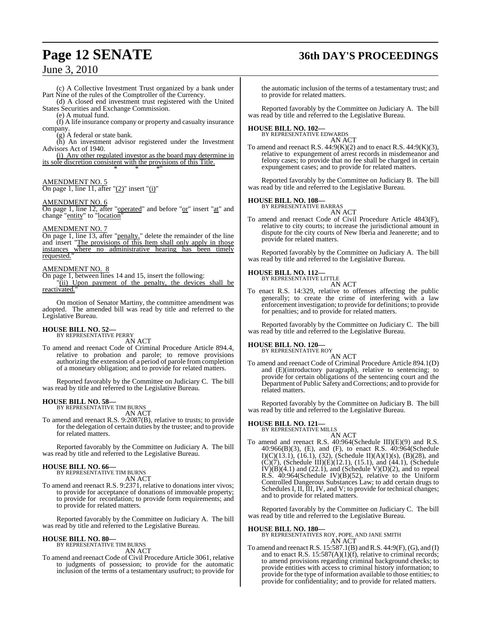# **Page 12 SENATE 36th DAY'S PROCEEDINGS**

### June 3, 2010

(c) A Collective Investment Trust organized by a bank under Part Nine of the rules of the Comptroller of the Currency. (d) A closed end investment trust registered with the United

States Securities and Exchange Commission. (e) A mutual fund.

(f) A life insurance company or property and casualty insurance company.

(g) A federal or state bank.

(h) An investment advisor registered under the Investment Advisors Act of 1940.

(i) Any other regulated investor as the board may determine in its sole discretion consistent with the provisions of this Title. \* \* \*"

#### AMENDMENT NO. 5

On page 1, line 11, after " $(2)$ " insert " $(i)$ "

#### AMENDMENT NO. 6

On page 1, line 12, after "operated" and before "or" insert "at" and change "entity" to "location"

#### AMENDMENT NO. 7

On page 1, line 13, after "penalty." delete the remainder of the line and insert "The provisions of this Item shall only apply in those instances where no administrative hearing has been timely requested.

#### AMENDMENT NO. 8

On page 1, between lines 14 and 15, insert the following: "(ii) Upon payment of the penalty, the devices shall be reactivated."

On motion of Senator Martiny, the committee amendment was adopted. The amended bill was read by title and referred to the Legislative Bureau.

#### **HOUSE BILL NO. 52—** BY REPRESENTATIVE PERRY

AN ACT

To amend and reenact Code of Criminal Procedure Article 894.4, relative to probation and parole; to remove provisions authorizing the extension of a period of parole from completion of a monetary obligation; and to provide for related matters.

Reported favorably by the Committee on Judiciary C. The bill was read by title and referred to the Legislative Bureau.

# **HOUSE BILL NO. 58—** BY REPRESENTATIVE TIM BURNS

AN ACT

To amend and reenact R.S. 9:2087(B), relative to trusts; to provide for the delegation of certain duties by the trustee; and to provide for related matters.

Reported favorably by the Committee on Judiciary A. The bill was read by title and referred to the Legislative Bureau.

# **HOUSE BILL NO. 66—** BY REPRESENTATIVE TIM BURNS

AN ACT

To amend and reenact R.S. 9:2371, relative to donations inter vivos; to provide for acceptance of donations of immovable property; to provide for recordation; to provide form requirements; and to provide for related matters.

Reported favorably by the Committee on Judiciary A. The bill was read by title and referred to the Legislative Bureau.

#### **HOUSE BILL NO. 80—**

BY REPRESENTATIVE TIM BURNS AN ACT

To amend and reenact Code of Civil Procedure Article 3061, relative to judgments of possession; to provide for the automatic inclusion of the terms of a testamentary usufruct; to provide for

the automatic inclusion of the terms of a testamentary trust; and to provide for related matters.

Reported favorably by the Committee on Judiciary A. The bill was read by title and referred to the Legislative Bureau.

# **HOUSE BILL NO. 102—** BY REPRESENTATIVE EDWARDS

AN ACT

To amend and reenact R.S.  $44:9(K)(2)$  and to enact R.S.  $44:9(K)(3)$ , relative to expungement of arrest records in misdemeanor and felony cases; to provide that no fee shall be charged in certain expungement cases; and to provide for related matters.

Reported favorably by the Committee on Judiciary B. The bill was read by title and referred to the Legislative Bureau.

#### **HOUSE BILL NO. 108—**

BY REPRESENTATIVE BARRAS AN ACT

To amend and reenact Code of Civil Procedure Article 4843(F), relative to city courts; to increase the jurisdictional amount in dispute for the city courts of New Iberia and Jeanerette; and to provide for related matters.

Reported favorably by the Committee on Judiciary A. The bill was read by title and referred to the Legislative Bureau.

#### **HOUSE BILL NO. 112—**

BY REPRESENTATIVE LITTLE AN ACT

To enact R.S. 14:329, relative to offenses affecting the public generally; to create the crime of interfering with a law enforcement investigation; to provide for definitions; to provide for penalties; and to provide for related matters.

Reported favorably by the Committee on Judiciary C. The bill was read by title and referred to the Legislative Bureau.

### **HOUSE BILL NO. 120—** BY REPRESENTATIVE ROY

AN ACT

To amend and reenact Code of Criminal Procedure Article 894.1(D) and (E)(introductory paragraph), relative to sentencing; to provide for certain obligations of the sentencing court and the Department of Public Safety and Corrections; and to provide for related matters.

Reported favorably by the Committee on Judiciary B. The bill was read by title and referred to the Legislative Bureau.

#### **HOUSE BILL NO. 121—**

BY REPRESENTATIVE MILLS AN ACT

To amend and reenact R.S. 40:964(Schedule III)(E)(9) and R.S. 40:966(B)(3), (E), and (F), to enact R.S. 40:964(Schedule I)(C)(13.1), (16.1), (32), (Schedule II)(A)(1)(s), (B)(28), and  $(C)(7)$ , (Schedule III) $(E)(12.1)$ , (15.1), and (44.1), (Schedule  $IV(B)(4.1)$  and  $(22.1)$ , and  $(Schedule V)(D)(2)$ , and to repeal R.S. 40:964(Schedule IV)(B)(52), relative to the Uniform Controlled Dangerous Substances Law; to add certain drugs to Schedules I, II, III, IV, and V; to provide for technical changes; and to provide for related matters.

Reported favorably by the Committee on Judiciary C. The bill was read by title and referred to the Legislative Bureau.

**HOUSE BILL NO. 180—** BY REPRESENTATIVES ROY, POPE, AND JANE SMITH AN ACT

To amend and reenact R.S. 15:587.1(B) andR.S. 44:9(F),(G), and (I) and to enact R.S. 15:587(A)(1)(f), relative to criminal records; to amend provisions regarding criminal background checks; to provide entities with access to criminal history information; to provide for the type of information available to those entities; to provide for confidentiality; and to provide for related matters.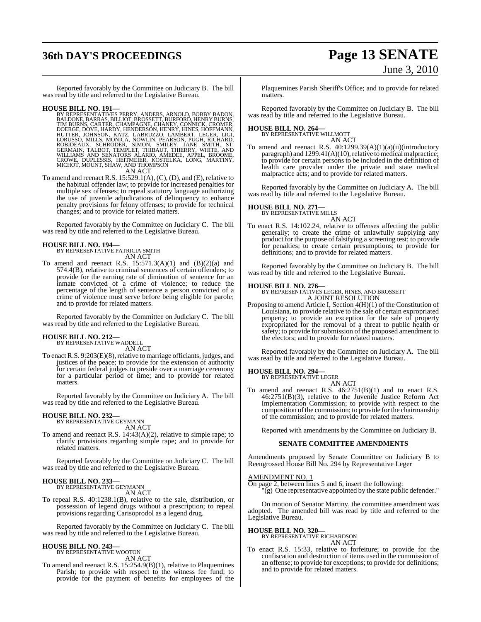# **36th DAY'S PROCEEDINGS Page 13 SENATE**

# June 3, 2010

Reported favorably by the Committee on Judiciary B. The bill was read by title and referred to the Legislative Bureau.

HOUSE BILL NO. 191—<br>
BY REPRESENTATIVES PERRY, ANDERS, ARNOLD, BOBBY BADON,<br>
BALDONE, BARRAS, BILLIOT, BROSSETT, BURFORD, HENRY BURNS, TIM BURNS, CARTER, CHAMPAGNE, CHANEY, CONNICK, CROMER,<br>
DOERGE, DOVE, HARDY, HENDERSON,

To amend and reenact R.S. 15:529.1(A), (C), (D), and (E), relative to the habitual offender law; to provide for increased penalties for multiple sex offenses; to repeal statutory language authorizing the use of juvenile adjudications of delinquency to enhance penalty provisions for felony offenses; to provide for technical changes; and to provide for related matters.

Reported favorably by the Committee on Judiciary C. The bill was read by title and referred to the Legislative Bureau.

**HOUSE BILL NO. 194—** BY REPRESENTATIVE PATRICIA SMITH AN ACT

To amend and reenact R.S.  $15:571.3(A)(1)$  and  $(B)(2)(a)$  and 574.4(B), relative to criminal sentences of certain offenders; to provide for the earning rate of diminution of sentence for an inmate convicted of a crime of violence; to reduce the percentage of the length of sentence a person convicted of a crime of violence must serve before being eligible for parole; and to provide for related matters.

Reported favorably by the Committee on Judiciary C. The bill was read by title and referred to the Legislative Bureau.

### **HOUSE BILL NO. 212—** BY REPRESENTATIVE WADDELL

AN ACT

To enact R.S. 9:203(E)(8), relative to marriage officiants, judges, and justices of the peace; to provide for the extension of authority for certain federal judges to preside over a marriage ceremony for a particular period of time; and to provide for related matters.

Reported favorably by the Committee on Judiciary A. The bill was read by title and referred to the Legislative Bureau.

# **HOUSE BILL NO. 232—** BY REPRESENTATIVE GEYMANN

AN ACT

To amend and reenact R.S. 14:43(A)(2), relative to simple rape; to clarify provisions regarding simple rape; and to provide for related matters.

Reported favorably by the Committee on Judiciary C. The bill was read by title and referred to the Legislative Bureau.

#### **HOUSE BILL NO. 233—**

BY REPRESENTATIVE GEYMANN

AN ACT

To repeal R.S. 40:1238.1(B), relative to the sale, distribution, or possession of legend drugs without a prescription; to repeal provisions regarding Carisoprodol as a legend drug.

Reported favorably by the Committee on Judiciary C. The bill was read by title and referred to the Legislative Bureau.

## **HOUSE BILL NO. 243—** BY REPRESENTATIVE WOOTON

AN ACT

To amend and reenact R.S. 15:254.9(B)(1), relative to Plaquemines Parish; to provide with respect to the witness fee fund; to provide for the payment of benefits for employees of the Plaquemines Parish Sheriff's Office; and to provide for related matters.

Reported favorably by the Committee on Judiciary B. The bill was read by title and referred to the Legislative Bureau.

### **HOUSE BILL NO. 264—** BY REPRESENTATIVE WILLMOTT

AN ACT

To amend and reenact R.S. 40:1299.39(A)(1)(a)(ii)(introductory paragraph) and 1299.41(A)(10), relative to medical malpractice; to provide for certain persons to be included in the definition of health care provider under the private and state medical malpractice acts; and to provide for related matters.

Reported favorably by the Committee on Judiciary A. The bill was read by title and referred to the Legislative Bureau.

#### **HOUSE BILL NO. 271—**

BY REPRESENTATIVE MILLS

AN ACT

To enact R.S. 14:102.24, relative to offenses affecting the public generally; to create the crime of unlawfully supplying any product for the purpose of falsifying a screening test; to provide for penalties; to create certain presumptions; to provide for definitions; and to provide for related matters.

Reported favorably by the Committee on Judiciary B. The bill was read by title and referred to the Legislative Bureau.

**HOUSE BILL NO. 276—** BY REPRESENTATIVES LEGER, HINES, AND BROSSETT A JOINT RESOLUTION

Proposing to amend Article I, Section 4(H)(1) of the Constitution of Louisiana, to provide relative to the sale of certain expropriated property; to provide an exception for the sale of property expropriated for the removal of a threat to public health or safety; to provide for submission of the proposed amendment to the electors; and to provide for related matters.

Reported favorably by the Committee on Judiciary A. The bill was read by title and referred to the Legislative Bureau.

#### **HOUSE BILL NO. 294—**

BY REPRESENTATIVE LEGER AN ACT

To amend and reenact R.S. 46:2751(B)(1) and to enact R.S. 46:2751(B)(3), relative to the Juvenile Justice Reform Act Implementation Commission; to provide with respect to the composition ofthe commission; to provide for the chairmanship of the commission; and to provide for related matters.

Reported with amendments by the Committee on Judiciary B.

#### **SENATE COMMITTEE AMENDMENTS**

Amendments proposed by Senate Committee on Judiciary B to Reengrossed House Bill No. 294 by Representative Leger

#### AMENDMENT NO. 1

On page 2, between lines 5 and 6, insert the following:  $\overline{g}$ ) One representative appointed by the state public defender."

On motion of Senator Martiny, the committee amendment was adopted. The amended bill was read by title and referred to the Legislative Bureau.

### **HOUSE BILL NO. 320—**

BY REPRESENTATIVE RICHARDSON AN ACT

To enact R.S. 15:33, relative to forfeiture; to provide for the confiscation and destruction of items used in the commission of an offense; to provide for exceptions; to provide for definitions; and to provide for related matters.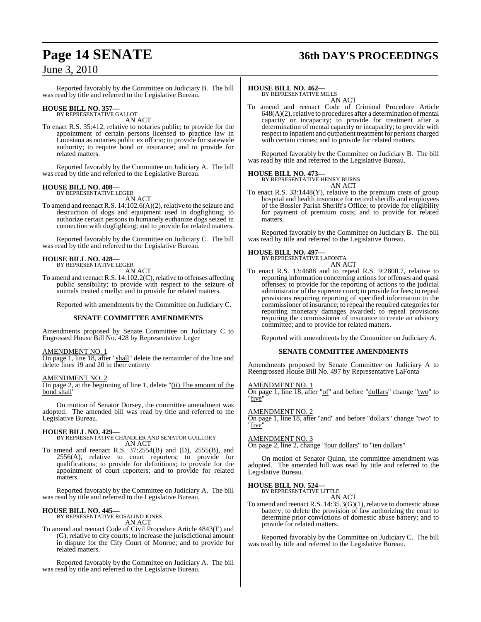### **Page 14 SENATE 36th DAY'S PROCEEDINGS**

### June 3, 2010

Reported favorably by the Committee on Judiciary B. The bill was read by title and referred to the Legislative Bureau.

### **HOUSE BILL NO. 357—** BY REPRESENTATIVE GALLOT

AN ACT

To enact R.S. 35:412, relative to notaries public; to provide for the appointment of certain persons licensed to practice law in Louisiana as notaries public ex officio; to provide for statewide authority; to require bond or insurance; and to provide for related matters.

Reported favorably by the Committee on Judiciary A. The bill was read by title and referred to the Legislative Bureau.

#### **HOUSE BILL NO. 408—**

BY REPRESENTATIVE LEGER AN ACT

To amend and reenact R.S.  $14:102.6(A)(2)$ , relative to the seizure and destruction of dogs and equipment used in dogfighting; to authorize certain persons to humanely euthanize dogs seized in connection with dogfighting; and to provide for related matters.

Reported favorably by the Committee on Judiciary C. The bill was read by title and referred to the Legislative Bureau.

#### **HOUSE BILL NO. 428—** BY REPRESENTATIVE LEGER

AN ACT

To amend and reenact R.S.  $14:102.2(C)$ , relative to offenses affecting public sensibility; to provide with respect to the seizure of animals treated cruelly; and to provide for related matters.

Reported with amendments by the Committee on Judiciary C.

#### **SENATE COMMITTEE AMENDMENTS**

Amendments proposed by Senate Committee on Judiciary C to Engrossed House Bill No. 428 by Representative Leger

#### AMENDMENT NO. 1

On page 1, line 18, after "shall" delete the remainder of the line and delete lines 19 and 20 in their entirety

#### AMENDMENT NO. 2

On page 2, at the beginning of line 1, delete "(ii) The amount of the bond shall"

On motion of Senator Dorsey, the committee amendment was adopted. The amended bill was read by title and referred to the Legislative Bureau.

#### **HOUSE BILL NO. 429—**

BY REPRESENTATIVE CHANDLER AND SENATOR GUILLORY AN ACT

To amend and reenact R.S. 37:2554(B) and (D), 2555(B), and  $2556(A)$ , relative to court reporters; to provide for qualifications; to provide for definitions; to provide for the appointment of court reporters; and to provide for related matters.

Reported favorably by the Committee on Judiciary A. The bill was read by title and referred to the Legislative Bureau.

**HOUSE BILL NO. 445—** BY REPRESENTATIVE ROSALIND JONES

AN ACT

To amend and reenact Code of Civil Procedure Article 4843(E) and (G), relative to city courts; to increase the jurisdictional amount in dispute for the City Court of Monroe; and to provide for related matters.

Reported favorably by the Committee on Judiciary A. The bill was read by title and referred to the Legislative Bureau.

#### **HOUSE BILL NO. 462—**

BY REPRESENTATIVE MILLS AN ACT

To amend and reenact Code of Criminal Procedure Article  $648(A)(2)$ , relative to procedures after a determination of mental capacity or incapacity; to provide for treatment after a determination of mental capacity or incapacity; to provide with respect to inpatient and outpatient treatment for persons charged with certain crimes; and to provide for related matters.

Reported favorably by the Committee on Judiciary B. The bill was read by title and referred to the Legislative Bureau.

#### **HOUSE BILL NO. 473—**



To enact R.S. 33:1448(Y), relative to the premium costs of group hospital and health insurance for retired sheriffs and employees of the Bossier Parish Sheriff's Office; to provide for eligibility for payment of premium costs; and to provide for related matters.

Reported favorably by the Committee on Judiciary B. The bill was read by title and referred to the Legislative Bureau.

#### **HOUSE BILL NO. 497—**



To enact R.S. 13:4688 and to repeal R.S. 9:2800.7, relative to reporting information concerning actions for offenses and quasi offenses; to provide for the reporting of actions to the judicial administrator of the supreme court; to provide for fees; to repeal provisions requiring reporting of specified information to the commissioner of insurance; to repeal the required categories for reporting monetary damages awarded; to repeal provisions requiring the commissioner of insurance to create an advisory committee; and to provide for related matters.

Reported with amendments by the Committee on Judiciary A.

#### **SENATE COMMITTEE AMENDMENTS**

Amendments proposed by Senate Committee on Judiciary A to Reengrossed House Bill No. 497 by Representative LaFonta

#### AMENDMENT NO. 1

On page 1, line 18, after "of" and before "dollars" change "two" to "five"

#### AMENDMENT NO. 2

On page 1, line 18, after "and" and before "dollars" change "two" to "five"

#### AMENDMENT NO. 3

On page 2, line 2, change "four dollars" to "ten dollars"

On motion of Senator Quinn, the committee amendment was adopted. The amended bill was read by title and referred to the Legislative Bureau.

#### **HOUSE BILL NO. 524—**

BY REPRESENTATIVE LITTLE AN ACT

To amend and reenact R.S. 14:35.3(G)(1), relative to domestic abuse battery; to delete the provision of law authorizing the court to determine prior convictions of domestic abuse battery; and to provide for related matters.

Reported favorably by the Committee on Judiciary C. The bill was read by title and referred to the Legislative Bureau.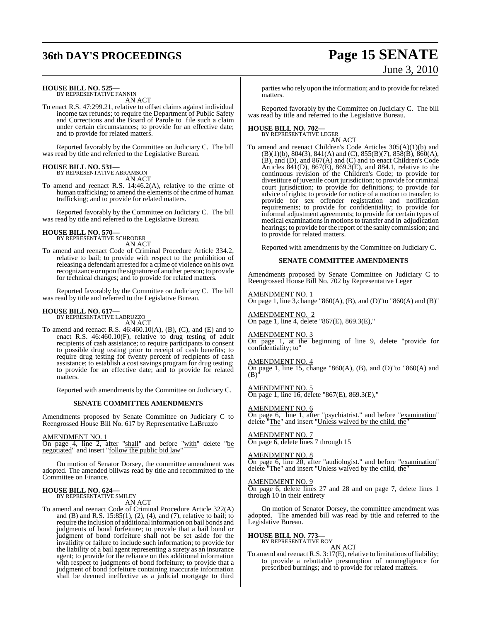# **36th DAY'S PROCEEDINGS Page 15 SENATE**

# June 3, 2010

### **HOUSE BILL NO. 525—** BY REPRESENTATIVE FANNIN

AN ACT

To enact R.S. 47:299.21, relative to offset claims against individual income tax refunds; to require the Department of Public Safety and Corrections and the Board of Parole to file such a claim under certain circumstances; to provide for an effective date; and to provide for related matters.

Reported favorably by the Committee on Judiciary C. The bill was read by title and referred to the Legislative Bureau.

#### **HOUSE BILL NO. 531—** BY REPRESENTATIVE ABRAMSON

AN ACT

To amend and reenact R.S. 14:46.2(A), relative to the crime of human trafficking; to amend the elements of the crime of human trafficking; and to provide for related matters.

Reported favorably by the Committee on Judiciary C. The bill was read by title and referred to the Legislative Bureau.

#### **HOUSE BILL NO. 570—** BY REPRESENTATIVE SCHRODER

AN ACT

To amend and reenact Code of Criminal Procedure Article 334.2, relative to bail; to provide with respect to the prohibition of releasing a defendant arrested for a crime of violence on his own recognizance or upon the signature of another person; to provide for technical changes; and to provide for related matters.

Reported favorably by the Committee on Judiciary C. The bill was read by title and referred to the Legislative Bureau.

# **HOUSE BILL NO. 617—** BY REPRESENTATIVE LABRUZZO

AN ACT

To amend and reenact R.S.  $46:460.10(A)$ , (B), (C), and (E) and to enact R.S. 46:460.10(F), relative to drug testing of adult recipients of cash assistance; to require participants to consent to possible drug testing prior to receipt of cash benefits; to require drug testing for twenty percent of recipients of cash assistance; to establish a cost savings program for drug testing; to provide for an effective date; and to provide for related matters.

Reported with amendments by the Committee on Judiciary C.

#### **SENATE COMMITTEE AMENDMENTS**

Amendments proposed by Senate Committee on Judiciary C to Reengrossed House Bill No. 617 by Representative LaBruzzo

#### AMENDMENT NO. 1

On page 4, line 2, after "shall" and before "with" delete "be negotiated" and insert "follow the public bid law"

On motion of Senator Dorsey, the committee amendment was adopted. The amended billwas read by title and recommitted to the Committee on Finance.

### **HOUSE BILL NO. 624—** BY REPRESENTATIVE SMILEY

AN ACT

To amend and reenact Code of Criminal Procedure Article 322(A) and (B) and R.S. 15:85(1), (2), (4), and (7), relative to bail; to require the inclusion of additional information on bail bonds and judgments of bond forfeiture; to provide that a bail bond or judgment of bond forfeiture shall not be set aside for the invalidity or failure to include such information; to provide for the liability of a bail agent representing a surety as an insurance agent; to provide for the reliance on this additional information with respect to judgments of bond forfeiture; to provide that a judgment of bond forfeiture containing inaccurate information shall be deemed ineffective as a judicial mortgage to third

parties who rely upon the information; and to provide for related matters.

Reported favorably by the Committee on Judiciary C. The bill was read by title and referred to the Legislative Bureau.

### **HOUSE BILL NO. 702—** BY REPRESENTATIVE LEGER

AN ACT

To amend and reenact Children's Code Articles 305(A)(1)(b) and  $(B)(1)(b)$ , 804(3), 841(A) and (C), 855(B)(7), 858(B), 860(A), (B), and (D), and 867(A) and (C) and to enact Children's Code Articles 841(D), 867(E), 869.3(E), and 884.1, relative to the continuous revision of the Children's Code; to provide for divestiture of juvenile court jurisdiction; to provide for criminal court jurisdiction; to provide for definitions; to provide for advice of rights; to provide for notice of a motion to transfer; to provide for sex offender registration and notification requirements; to provide for confidentiality; to provide for informal adjustment agreements; to provide for certain types of medical examinationsin motionsto transfer and in adjudication hearings; to provide for the report of the sanity commission; and to provide for related matters.

Reported with amendments by the Committee on Judiciary C.

#### **SENATE COMMITTEE AMENDMENTS**

Amendments proposed by Senate Committee on Judiciary C to Reengrossed House Bill No. 702 by Representative Leger

AMENDMENT NO. 1 On page 1, line 3,change "860(A), (B), and (D)"to "860(A) and (B)"

AMENDMENT NO. 2 On page 1, line 4, delete "867(E), 869.3(E),"

### AMENDMENT NO. 3

On page 1, at the beginning of line 9, delete "provide for confidentiality; to"

#### AMENDMENT NO. 4

On page 1, line 15, change "860(A), (B), and (D)"to "860(A) and  $(B)$ 

### AMENDMENT NO. 5

On page 1, line 16, delete "867(E), 869.3(E),"

#### AMENDMENT NO. 6

On page 6, line 1, after "psychiatrist." and before "examination" delete "The" and insert "Unless waived by the child, the"

#### AMENDMENT NO. 7 On page 6, delete lines 7 through 15

#### AMENDMENT NO. 8

On page 6, line 20, after "audiologist." and before "examination" delete "The" and insert "Unless waived by the child, the"

### AMENDMENT NO. 9

On page 6, delete lines 27 and 28 and on page 7, delete lines 1 through 10 in their entirety

On motion of Senator Dorsey, the committee amendment was adopted. The amended bill was read by title and referred to the Legislative Bureau.

### **HOUSE BILL NO. 773—** BY REPRESENTATIVE ROY

AN ACT

To amend and reenact R.S.  $3:17(E)$ , relative to limitations of liability; to provide a rebuttable presumption of nonnegligence for prescribed burnings; and to provide for related matters.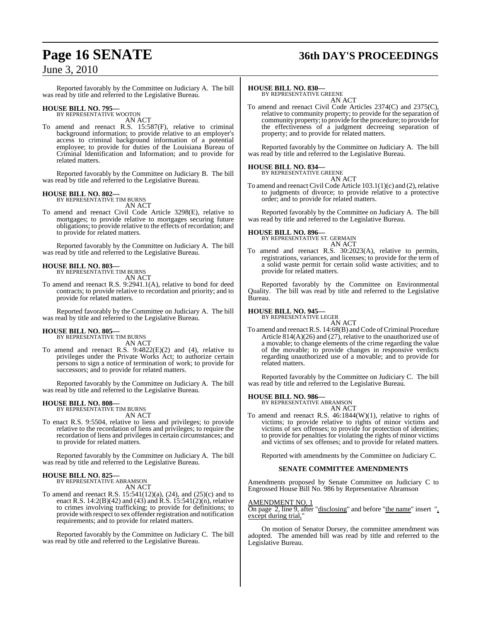# **Page 16 SENATE 36th DAY'S PROCEEDINGS**

### June 3, 2010

Reported favorably by the Committee on Judiciary A. The bill was read by title and referred to the Legislative Bureau.

### **HOUSE BILL NO. 795—** BY REPRESENTATIVE WOOTON

AN ACT

To amend and reenact R.S. 15:587(F), relative to criminal background information; to provide relative to an employer's access to criminal background information of a potential employee; to provide for duties of the Louisiana Bureau of Criminal Identification and Information; and to provide for related matters.

Reported favorably by the Committee on Judiciary B. The bill was read by title and referred to the Legislative Bureau.

### **HOUSE BILL NO. 802—** BY REPRESENTATIVE TIM BURNS

AN ACT

To amend and reenact Civil Code Article 3298(E), relative to mortgages; to provide relative to mortgages securing future obligations; to provide relative to the effects of recordation; and to provide for related matters.

Reported favorably by the Committee on Judiciary A. The bill was read by title and referred to the Legislative Bureau.

#### **HOUSE BILL NO. 803—** BY REPRESENTATIVE TIM BURNS

AN ACT

To amend and reenact R.S. 9:2941.1(A), relative to bond for deed contracts; to provide relative to recordation and priority; and to provide for related matters.

Reported favorably by the Committee on Judiciary A. The bill was read by title and referred to the Legislative Bureau.

#### **HOUSE BILL NO. 805—**

BY REPRESENTATIVE TIM BURNS AN ACT

To amend and reenact R.S. 9:4822(E)(2) and (4), relative to privileges under the Private Works Act; to authorize certain persons to sign a notice of termination of work; to provide for successors; and to provide for related matters.

Reported favorably by the Committee on Judiciary A. The bill was read by title and referred to the Legislative Bureau.

# **HOUSE BILL NO. 808—** BY REPRESENTATIVE TIM BURNS

- AN ACT
- To enact R.S. 9:5504, relative to liens and privileges; to provide relative to the recordation of liens and privileges; to require the recordation of liens and privileges in certain circumstances; and to provide for related matters.

Reported favorably by the Committee on Judiciary A. The bill was read by title and referred to the Legislative Bureau.

### **HOUSE BILL NO. 825—** BY REPRESENTATIVE ABRAMSON

AN ACT

To amend and reenact R.S. 15:541(12)(a), (24), and (25)(c) and to enact R.S. 14:2(B)(42) and (43) and R.S. 15:541(2)(n), relative to crimes involving trafficking; to provide for definitions; to provide with respect to sex offender registration and notification requirements; and to provide for related matters.

Reported favorably by the Committee on Judiciary C. The bill was read by title and referred to the Legislative Bureau.

#### **HOUSE BILL NO. 830—**

BY REPRESENTATIVE GREENE AN ACT

To amend and reenact Civil Code Articles 2374(C) and 2375(C), relative to community property; to provide for the separation of community property; to provide for the procedure; to provide for the effectiveness of a judgment decreeing separation of property; and to provide for related matters.

Reported favorably by the Committee on Judiciary A. The bill was read by title and referred to the Legislative Bureau.

#### **HOUSE BILL NO. 834—**

BY REPRESENTATIVE GREENE AN ACT

To amend and reenact Civil Code Article  $103.1(1)(c)$  and  $(2)$ , relative to judgments of divorce; to provide relative to a protective order; and to provide for related matters.

Reported favorably by the Committee on Judiciary A. The bill was read by title and referred to the Legislative Bureau.

#### **HOUSE BILL NO. 896—**

BY REPRESENTATIVE ST. GERMAIN AN ACT

To amend and reenact R.S. 30:2023(A), relative to permits, registrations, variances, and licenses; to provide for the term of a solid waste permit for certain solid waste activities; and to provide for related matters.

Reported favorably by the Committee on Environmental Quality. The bill was read by title and referred to the Legislative Bureau.

### **HOUSE BILL NO. 945—** BY REPRESENTATIVE LEGER

AN ACT

To amend and reenact R.S. 14:68(B) and Code of Criminal Procedure Article 814(A)(26) and (27), relative to the unauthorized use of a movable; to change elements of the crime regarding the value of the movable; to provide changes in responsive verdicts regarding unauthorized use of a movable; and to provide for related matters.

Reported favorably by the Committee on Judiciary C. The bill was read by title and referred to the Legislative Bureau.

### **HOUSE BILL NO. 986—** BY REPRESENTATIVE ABRAMSON

AN ACT

To amend and reenact R.S. 46:1844(W)(1), relative to rights of victims; to provide relative to rights of minor victims and victims of sex offenses; to provide for protection of identities; to provide for penalties for violating the rights of minor victims and victims of sex offenses; and to provide for related matters.

Reported with amendments by the Committee on Judiciary C.

#### **SENATE COMMITTEE AMENDMENTS**

Amendments proposed by Senate Committee on Judiciary C to Engrossed House Bill No. 986 by Representative Abramson

#### AMENDMENT NO. 1

On page 2, line 9, after "disclosing" and before "the name" insert ", except during trial,"

On motion of Senator Dorsey, the committee amendment was adopted. The amended bill was read by title and referred to the Legislative Bureau.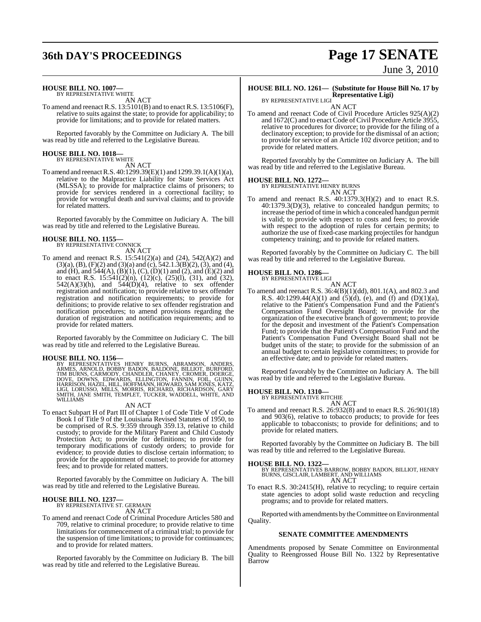# **36th DAY'S PROCEEDINGS Page 17 SENATE**

#### **HOUSE BILL NO. 1007—**

BY REPRESENTATIVE WHITE AN ACT

To amend and reenact R.S. 13:5101(B) and to enact R.S. 13:5106(F), relative to suits against the state; to provide for applicability; to provide for limitations; and to provide for related matters.

Reported favorably by the Committee on Judiciary A. The bill was read by title and referred to the Legislative Bureau.

### **HOUSE BILL NO. 1018—** BY REPRESENTATIVE WHITE

AN ACT

To amend and reenact R.S. 40:1299.39(E)(1) and 1299.39.1(A)(1)(a), relative to the Malpractice Liability for State Services Act (MLSSA); to provide for malpractice claims of prisoners; to provide for services rendered in a correctional facility; to provide for wrongful death and survival claims; and to provide for related matters.

Reported favorably by the Committee on Judiciary A. The bill was read by title and referred to the Legislative Bureau.

### **HOUSE BILL NO. 1155—** BY REPRESENTATIVE CONNICK

AN ACT

To amend and reenact R.S. 15:541(2)(a) and (24), 542(A)(2) and  $(3)(a)$ ,  $(B)$ ,  $(F)(2)$  and  $(3)(a)$  and  $(c)$ ,  $542.1.3(B)(2)$ ,  $(3)$ , and  $(4)$ , and (H), and  $544(A)$ ,  $(B)(1)$ ,  $(C)$ ,  $(D)(1)$  and  $(2)$ , and  $(E)(2)$  and to enact R.S. 15:541(2)(n), (12)(c), (25)(l), (31), and (32),  $542(A)(3)(h)$ , and  $544(D)(4)$ , relative to sex offender registration and notification; to provide relative to sex offender registration and notification requirements; to provide for definitions; to provide relative to sex offender registration and notification procedures; to amend provisions regarding the duration of registration and notification requirements; and to provide for related matters.

Reported favorably by the Committee on Judiciary C. The bill was read by title and referred to the Legislative Bureau.

**HOUSE BILL NO. 1156**—<br>BY REPRESENTATIVES HENRY BURNS, ABRAMSON, ANDERS, ARMES, ARNOLD, BOBBY BADON, BALDONE, BILLIOT, BURFORD, TIM BURNS, CARMODY, CHANDLER, CHANEY, CROMER, DOERGE, DOVE, DOWNS, EDWARDS, ELLINGTON, FANNIN, WILLIAMS

#### AN ACT

To enact Subpart H of Part III of Chapter 1 of Code Title V of Code Book I of Title 9 of the Louisiana Revised Statutes of 1950, to be comprised of R.S. 9:359 through 359.13, relative to child custody; to provide for the Military Parent and Child Custody Protection Act; to provide for definitions; to provide for temporary modifications of custody orders; to provide for evidence; to provide duties to disclose certain information; to provide for the appointment of counsel; to provide for attorney fees; and to provide for related matters.

Reported favorably by the Committee on Judiciary A. The bill was read by title and referred to the Legislative Bureau.

#### **HOUSE BILL NO. 1237—** BY REPRESENTATIVE ST. GERMAIN

AN ACT

To amend and reenact Code of Criminal Procedure Articles 580 and 709, relative to criminal procedure; to provide relative to time limitations for commencement of a criminal trial; to provide for the suspension of time limitations; to provide for continuances; and to provide for related matters.

Reported favorably by the Committee on Judiciary B. The bill was read by title and referred to the Legislative Bureau.

# June 3, 2010

#### **HOUSE BILL NO. 1261— (Substitute for House Bill No. 17 by Representative Ligi)**

BY REPRESENTATIVE LIGI AN ACT

To amend and reenact Code of Civil Procedure Articles 925(A)(2) and 1672(C) and to enact Code of Civil Procedure Article 3955, relative to procedures for divorce; to provide for the filing of a declinatory exception; to provide for the dismissal of an action; to provide for service of an Article 102 divorce petition; and to provide for related matters.

Reported favorably by the Committee on Judiciary A. The bill was read by title and referred to the Legislative Bureau.

#### **HOUSE BILL NO. 1272—**

BY REPRESENTATIVE HENRY BURNS AN ACT

To amend and reenact R.S. 40:1379.3(H)(2) and to enact R.S. 40:1379.3(D)(3), relative to concealed handgun permits; to increase the period of time in which a concealed handgun permit is valid; to provide with respect to costs and fees; to provide with respect to the adoption of rules for certain permits; to authorize the use of fixed-case marking projectiles for handgun competency training; and to provide for related matters.

Reported favorably by the Committee on Judiciary C. The bill was read by title and referred to the Legislative Bureau.

#### **HOUSE BILL NO. 1286—**

BY REPRESENTATIVE LIGI

AN ACT To amend and reenact R.S. 36:4(B)(1)(dd), 801.1(A), and 802.3 and R.S. 40:1299.44(A)(1) and  $(5)(d)$ , (e), and  $(f)$  and  $(D)(1)(a)$ , relative to the Patient's Compensation Fund and the Patient's Compensation Fund Oversight Board; to provide for the organization of the executive branch of government; to provide for the deposit and investment of the Patient's Compensation Fund; to provide that the Patient's Compensation Fund and the Patient's Compensation Fund Oversight Board shall not be budget units of the state; to provide for the submission of an annual budget to certain legislative committees; to provide for an effective date; and to provide for related matters.

Reported favorably by the Committee on Judiciary A. The bill was read by title and referred to the Legislative Bureau.

**HOUSE BILL NO. 1310—**

BY REPRESENTATIVE RITCHIE AN ACT

To amend and reenact R.S. 26:932(8) and to enact R.S. 26:901(18) and 903(6), relative to tobacco products; to provide for fees applicable to tobacconists; to provide for definitions; and to provide for related matters.

Reported favorably by the Committee on Judiciary B. The bill was read by title and referred to the Legislative Bureau.

**HOUSE BILL NO. 1322—** BY REPRESENTATIVES BARROW, BOBBY BADON, BILLIOT, HENRY BURNS, GISCLAIR, LAMBERT, AND WILLIAMS AN ACT

To enact R.S. 30:2415(H), relative to recycling; to require certain state agencies to adopt solid waste reduction and recycling programs; and to provide for related matters.

Reported with amendments by theCommittee on Environmental Quality.

#### **SENATE COMMITTEE AMENDMENTS**

Amendments proposed by Senate Committee on Environmental Quality to Reengrossed House Bill No. 1322 by Representative Barrow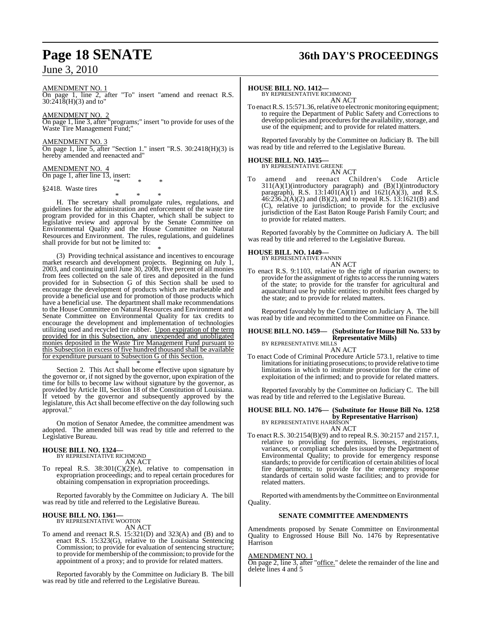June 3, 2010

# **Page 18 SENATE 36th DAY'S PROCEEDINGS**

AMENDMENT NO. 1 On page 1, line 2, after "To" insert "amend and reenact R.S. 30:2418(H)(3) and to"

AMENDMENT NO. 2 On page 1, line 3, after "programs;" insert "to provide for uses of the Waste Tire Management Fund;"

AMENDMENT NO. 3 On page 1, line 5, after "Section 1." insert "R.S. 30:2418(H)(3) is hereby amended and reenacted and"

AMENDMENT NO. 4 On page 1, after line 13, insert:

"\* \* \* §2418. Waste tires

\* \* \*

H. The secretary shall promulgate rules, regulations, and guidelines for the administration and enforcement of the waste tire program provided for in this Chapter, which shall be subject to legislative review and approval by the Senate Committee on Environmental Quality and the House Committee on Natural Resources and Environment. The rules, regulations, and guidelines shall provide for but not be limited to:

\* \* \* (3) Providing technical assistance and incentives to encourage market research and development projects. Beginning on July 1, 2003, and continuing until June 30, 2008, five percent of all monies from fees collected on the sale of tires and deposited in the fund provided for in Subsection G of this Section shall be used to encourage the development of products which are marketable and provide a beneficial use and for promotion of those products which have a beneficial use. The department shall make recommendations to the House Committee on Natural Resources and Environment and Senate Committee on Environmental Quality for tax credits to encourage the development and implementation of technologies utilizing used and recycled tire rubber. Upon expiration of the term provided for in this Subsection, any unexpended and unobligated monies deposited in the Waste Tire Management Fund pursuant to this Subsection in excess of five hundred thousand shall be available for expenditure pursuant to Subsection G of this Section.

\* \* \* Section 2. This Act shall become effective upon signature by the governor or, if not signed by the governor, upon expiration of the time for bills to become law without signature by the governor, as provided by Article III, Section 18 of the Constitution of Louisiana. If vetoed by the governor and subsequently approved by the legislature, this Act shall become effective on the day following such approval.

On motion of Senator Amedee, the committee amendment was adopted. The amended bill was read by title and referred to the Legislative Bureau.

#### **HOUSE BILL NO. 1324—**

BY REPRESENTATIVE RICHMOND AN ACT

To repeal R.S.  $38:301(C)(2)(e)$ , relative to compensation in expropriation proceedings; and to repeal certain procedures for obtaining compensation in expropriation proceedings.

Reported favorably by the Committee on Judiciary A. The bill was read by title and referred to the Legislative Bureau.

### **HOUSE BILL NO. 1361—** BY REPRESENTATIVE WOOTON

AN ACT

To amend and reenact R.S. 15:321(D) and 323(A) and (B) and to enact R.S. 15:323(G), relative to the Louisiana Sentencing Commission; to provide for evaluation of sentencing structure; to provide for membership of the commission; to provide for the appointment of a proxy; and to provide for related matters.

Reported favorably by the Committee on Judiciary B. The bill was read by title and referred to the Legislative Bureau.

#### **HOUSE BILL NO. 1412—**

BY REPRESENTATIVE RICHMOND AN ACT

To enact R.S. 15:571.36, relative to electronic monitoring equipment; to require the Department of Public Safety and Corrections to develop policies and procedures for the availability, storage, and use of the equipment; and to provide for related matters.

Reported favorably by the Committee on Judiciary B. The bill was read by title and referred to the Legislative Bureau.

### **HOUSE BILL NO. 1435—** BY REPRESENTATIVE GREENE

AN ACT To amend and reenact Children's Code Article 311(A)(1)(introductory paragraph) and (B)(1)(introductory paragraph), R.S. 13:1401(A)(1) and 1621(A)(3), and R.S.  $46:236.2(A)(2)$  and (B)(2), and to repeal R.S. 13:1621(B) and (C), relative to jurisdiction; to provide for the exclusive jurisdiction of the East Baton Rouge Parish Family Court; and to provide for related matters.

Reported favorably by the Committee on Judiciary A. The bill was read by title and referred to the Legislative Bureau.

#### **HOUSE BILL NO. 1449—**



To enact R.S. 9:1103, relative to the right of riparian owners; to provide for the assignment of rights to access the running waters of the state; to provide for the transfer for agricultural and aquacultural use by public entities; to prohibit fees charged by the state; and to provide for related matters.

Reported favorably by the Committee on Judiciary A. The bill was read by title and recommitted to the Committee on Finance.

#### **HOUSE BILL NO. 1459— (Substitute for HouseBill No. 533 by Representative Mills)** BY REPRESENTATIVE MILLS

AN ACT

To enact Code of Criminal Procedure Article 573.1, relative to time limitations for initiating prosecutions; to provide relative to time limitations in which to institute prosecution for the crime of exploitation of the infirmed; and to provide for related matters.

Reported favorably by the Committee on Judiciary C. The bill was read by title and referred to the Legislative Bureau.

#### **HOUSE BILL NO. 1476— (Substitute for House Bill No. 1258 by Representative Harrison)** BY REPRESENTATIVE HARRISON

AN ACT

To enact R.S. 30:2154(B)(9) and to repeal R.S. 30:2157 and 2157.1, relative to providing for permits, licenses, registrations, variances, or compliant schedules issued by the Department of Environmental Quality; to provide for emergency response standards; to provide for certification of certain abilities of local fire departments; to provide for the emergency response standards of certain solid waste facilities; and to provide for related matters.

Reported with amendments by the Committee on Environmental Quality.

#### **SENATE COMMITTEE AMENDMENTS**

Amendments proposed by Senate Committee on Environmental Quality to Engrossed House Bill No. 1476 by Representative Harrison

#### AMENDMENT NO. 1

On page 2, line 3, after "office." delete the remainder of the line and delete lines 4 and 5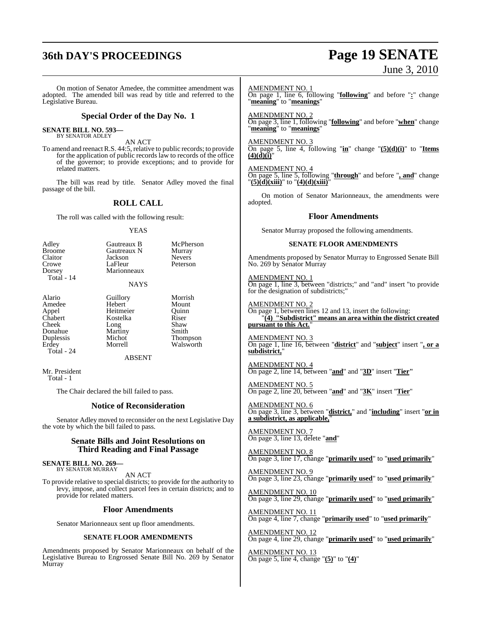## **36th DAY'S PROCEEDINGS Page 19 SENATE**

# June 3, 2010

On motion of Senator Amedee, the committee amendment was adopted. The amended bill was read by title and referred to the Legislative Bureau. **Special Order of the Day No. 1 SENATE BILL NO. 593—** BY SENATOR ADLEY AN ACT To amend and reenactR.S. 44:5, relative to public records; to provide for the application of public records law to records of the office of the governor; to provide exceptions; and to provide for related matters. The bill was read by title. Senator Adley moved the final passage of the bill. **ROLL CALL** The roll was called with the following result: YEAS Adley Gautreaux B McPherson<br>Broome Gautreaux N Murray Broome Gautreaux N Murray<br>Claitor Jackson Nevers Claitor Jackson<br>Crowe LaFleur Crowe LaFleur Peterson<br>Dorsey Marionneaux Marionneaux Total - 14 NAYS Alario Guillory Morrish<br>Amedee Hebert Mount Amedee Hebert Mount<br>
Appel Heitmeier Quinn Appel Heitmeier Quinn<br>Chabert Kostelka Riser Chabert Kostelka Riser<br>Cheek Long Shaw Long Shaw<br>Martiny Smith Donahue Martiny<br>Duplessis Michot Duplessis Michot Thompson Walsworth Total - 24 ABSENT Mr. President Total - 1 The Chair declared the bill failed to pass. **Notice of Reconsideration** Senator Adley moved to reconsider on the next Legislative Day the vote by which the bill failed to pass. **Senate Bills and Joint Resolutions on Third Reading and Final Passage SENATE BILL NO. 269—** BY SENATOR MURRAY AN ACT To provide relative to special districts; to provide for the authority to levy, impose, and collect parcel fees in certain districts; and to provide for related matters. **Floor Amendments** Senator Marionneaux sent up floor amendments. **SENATE FLOOR AMENDMENTS** Amendments proposed by Senator Marionneaux on behalf of the Legislative Bureau to Engrossed Senate Bill No. 269 by Senator Murray AMENDMENT NO. 1 On page 1, line 6, following "**following**" and before "**:**" change "**meaning**" to "**meanings**" AMENDMENT NO. 2 On page 3, line 1, following "**following**" and before "**when**" change "**meaning**" to "**meanings**" AMENDMENT NO. 3 On page 5, line 4, following "**in**" change "**(5)(d)(i)**" to "**Items**  $(4)(\dot{d})(\ddot{i})$ " AMENDMENT NO. 4 On page 5, line 5, following "**through**" and before "**, and**" change "**(5)(d)(xiii)**" to "**(4)(d)(xiii)**" On motion of Senator Marionneaux, the amendments were adopted. **Floor Amendments** Senator Murray proposed the following amendments. **SENATE FLOOR AMENDMENTS** Amendments proposed by Senator Murray to Engrossed Senate Bill No. 269 by Senator Murray AMENDMENT NO. 1 On page 1, line 3, between "districts;" and "and" insert "to provide for the designation of subdistricts;" AMENDMENT NO. 2 On page 1, between lines 12 and 13, insert the following: "**(4) "Subdistrict" means an area within the district created** pursuant to this Act. AMENDMENT NO. 3 On page 1, line 16, between "**district**" and "**subject**" insert "**, or a subdistrict,**" AMENDMENT NO. 4 On page 2, line 14, between "**and**" and "**3D**" insert "**Tier"** AMENDMENT NO. 5 On page 2, line 20, between "**and**" and "**3K**" insert "**Tier**" AMENDMENT NO. 6 On page 3, line 3, between "**district,**" and "**including**" insert "**or in a subdistrict, as applicable,**" AMENDMENT NO. 7 On page 3, line 13, delete "**and**" AMENDMENT NO. 8 On page 3, line 17, change "**primarily used**" to "**used primarily**" AMENDMENT NO. 9 On page 3, line 23, change "**primarily used**" to "**used primarily**" AMENDMENT NO. 10 On page 3, line 29, change "**primarily used**" to "**used primarily**" AMENDMENT NO. 11 On page 4, line 7, change "**primarily used**" to "**used primarily**" AMENDMENT NO. 12 On page 4, line 29, change "**primarily used**" to "**used primarily**" AMENDMENT NO. 13 On page 5, line 4, change "**(5)**" to "**(4)**"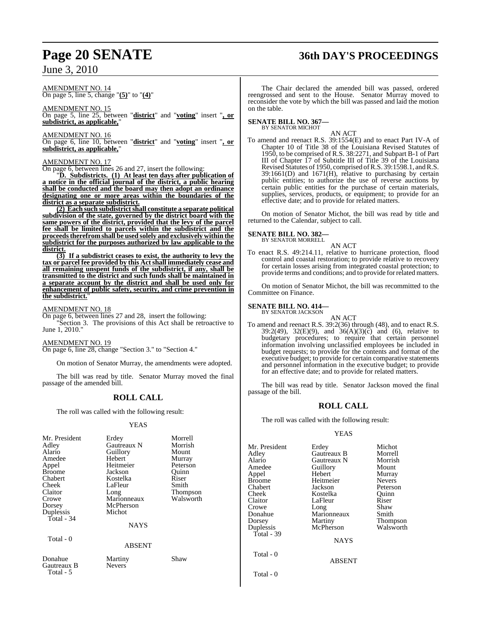### June 3, 2010

# **Page 20 SENATE 36th DAY'S PROCEEDINGS**

AMENDMENT NO. 14 On page 5, line 5, change "**(5)**" to "**(4)**"

AMENDMENT NO. 15 On page 5, line 25, between "**district**" and "**voting**" insert "**, or subdistrict, as applicable,**"

AMENDMENT NO. 16

On page 6, line 10, between "**district**" and "**voting**" insert "**, or subdistrict, as applicable,**"

#### AMENDMENT NO. 17

On page 6, between lines 26 and 27, insert the following:

"**D. Subdistricts. (1) At least ten days after publication of a notice in the official journal of the district, a public hearing shall be conducted and the board may then adopt an ordinance designating one or more areas within the boundaries of the district as a separate subdistrict.**

**(2) Each such subdistrict shall constitute a separate political subdivision of the state, governed by the district board with the same powers of the district, provided that the levy of the parcel fee shall be limited to parcels within the subdistrict and the proceedstherefrom shall be used solely and exclusively within the subdistrict for the purposes authorized by law applicable to the district.**

**(3) If a subdistrict ceases to exist, the authority to levy the tax or parcel fee provided by this Actshall immediately cease and all remaining unspent funds of the subdistrict, if any, shall be transmitted to the district and such funds shall be maintained in a separate account by the district and shall be used only for enhancement of public safety, security, and crime prevention in the subdistrict.**"

AMENDMENT NO. 18

On page 6, between lines 27 and 28, insert the following: "Section 3. The provisions of this Act shall be retroactive to June 1, 2010."

AMENDMENT NO. 19

On page 6, line 28, change "Section 3." to "Section 4."

On motion of Senator Murray, the amendments were adopted.

The bill was read by title. Senator Murray moved the final passage of the amended bill.

### **ROLL CALL**

The roll was called with the following result:

#### YEAS

| Mr. President<br>Adley<br>Alario<br>Amedee<br>Appel<br><b>Broome</b><br>Chabert<br>Cheek<br>Claitor<br>Crowe<br>Dorsey<br>Duplessis<br>Total - 34<br>Total - 0 | Erdey<br>Gautreaux N<br>Guillory<br>Hebert<br>Heitmeier<br>Jackson<br>Kostelka<br>LaFleur<br>Long<br>Marionneaux<br>McPherson<br>Michot<br><b>NAYS</b><br><b>ABSENT</b> | Morrell<br>Morrish<br>Mount<br>Murray<br>Peterson<br>Quinn<br>Riser<br>Smith<br><b>Thompson</b><br>Walsworth |
|----------------------------------------------------------------------------------------------------------------------------------------------------------------|-------------------------------------------------------------------------------------------------------------------------------------------------------------------------|--------------------------------------------------------------------------------------------------------------|
|                                                                                                                                                                |                                                                                                                                                                         |                                                                                                              |
| Donahue<br>Gautreaux B<br>Total - 5                                                                                                                            | Martiny<br><b>Nevers</b>                                                                                                                                                | Shaw                                                                                                         |

The Chair declared the amended bill was passed, ordered reengrossed and sent to the House. Senator Murray moved to reconsider the vote by which the bill was passed and laid the motion on the table.

#### **SENATE BILL NO. 367—** BY SENATOR MICHOT

AN ACT

To amend and reenact R.S. 39:1554(E) and to enact Part IV-A of Chapter 10 of Title 38 of the Louisiana Revised Statutes of 1950, to be comprised of R.S. 38:2271, and Subpart B-1 of Part III of Chapter 17 of Subtitle III of Title 39 of the Louisiana Revised Statutes of 1950, comprised of R.S. 39:1598.1, and R.S. 39:1661(D) and 1671(H), relative to purchasing by certain public entities; to authorize the use of reverse auctions by certain public entities for the purchase of certain materials, supplies, services, products, or equipment; to provide for an effective date; and to provide for related matters.

On motion of Senator Michot, the bill was read by title and returned to the Calendar, subject to call.

**SENATE BILL NO. 382—**

BY SENATOR MORRELL AN ACT

To enact R.S. 49:214.11, relative to hurricane protection, flood control and coastal restoration; to provide relative to recovery for certain losses arising from integrated coastal protection; to provide terms and conditions; and to provide forrelated matters.

On motion of Senator Michot, the bill was recommitted to the Committee on Finance.

#### **SENATE BILL NO. 414—**

BY SENATOR JACKSON

AN ACT To amend and reenact R.S. 39:2(36) through (48), and to enact R.S. 39:2(49), 32(E)(9), and  $36(A)(3)(\bar{c})$  and (6), relative to budgetary procedures; to require that certain personnel information involving unclassified employees be included in budget requests; to provide for the contents and format of the executive budget; to provide for certain comparative statements and personnel information in the executive budget; to provide for an effective date; and to provide for related matters.

The bill was read by title. Senator Jackson moved the final passage of the bill.

#### **ROLL CALL**

The roll was called with the following result:

#### YEAS

| Mr. President<br>Adley<br>Alario<br>Amedee<br>Appel | Erdey<br>Gautreaux B<br>Gautreaux N<br>Guillory<br>Hebert | Michot<br>Morrell<br>Morrish<br>Mount<br>Murray |
|-----------------------------------------------------|-----------------------------------------------------------|-------------------------------------------------|
| Broome                                              | Heitmeier                                                 | <b>Nevers</b>                                   |
| Chabert                                             | Jackson                                                   | Peterson                                        |
| Cheek                                               | Kostelka                                                  | Quinn                                           |
| Claitor                                             | LaFleur                                                   | Riser                                           |
| Crowe                                               | Long                                                      | Shaw                                            |
| Donahue                                             | Marionneaux                                               | Smith                                           |
| Dorsey                                              | Martiny                                                   | Thompson                                        |
| Duplessis                                           | McPherson                                                 | Walsworth                                       |
| Total - 39                                          |                                                           |                                                 |
|                                                     | <b>NAYS</b>                                               |                                                 |
| Total - 0                                           | <b>ABSENT</b>                                             |                                                 |
|                                                     |                                                           |                                                 |
| Total - 0                                           |                                                           |                                                 |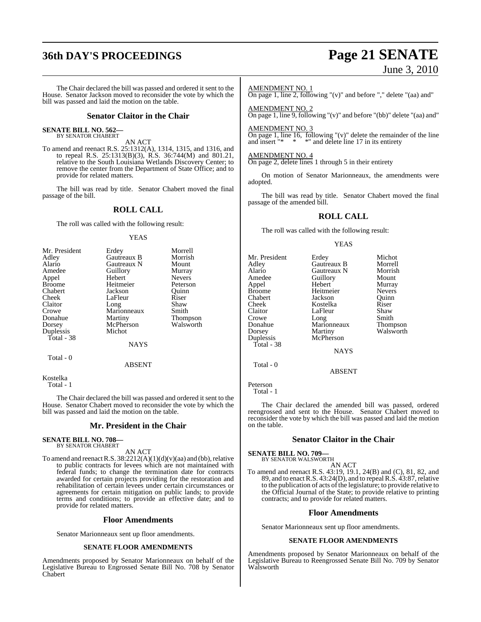# **36th DAY'S PROCEEDINGS Page 21 SENATE**

# June 3, 2010

The Chair declared the bill was passed and ordered it sent to the House. Senator Jackson moved to reconsider the vote by which the bill was passed and laid the motion on the table.

#### **Senator Claitor in the Chair**

#### **SENATE BILL NO. 562—** BY SENATOR CHABERT

AN ACT

To amend and reenact R.S. 25:1312(A), 1314, 1315, and 1316, and to repeal R.S. 25:1313(B)(3), R.S. 36:744(M) and 801.21, relative to the South Louisiana Wetlands Discovery Center; to remove the center from the Department of State Office; and to provide for related matters.

The bill was read by title. Senator Chabert moved the final passage of the bill.

#### **ROLL CALL**

The roll was called with the following result:

#### YEAS

| Mr. President | Erdey         | Morrell       |
|---------------|---------------|---------------|
| Adley         | Gautreaux B   | Morrish       |
| Alario        | Gautreaux N   | Mount         |
| Amedee        | Guillory      | Murray        |
| Appel         | Hebert        | <b>Nevers</b> |
| <b>Broome</b> | Heitmeier     | Peterson      |
| Chabert       | Jackson       | Quinn         |
| Cheek         | LaFleur       | Riser         |
| Claitor       | Long          | Shaw          |
| Crowe         | Marionneaux   | Smith         |
| Donahue       | Martiny       | Thompson      |
| Dorsey        | McPherson     | Walsworth     |
| Duplessis     | Michot        |               |
| Total - 38    |               |               |
|               | <b>NAYS</b>   |               |
| Total - 0     |               |               |
|               | <b>ABSENT</b> |               |

Kostelka

Total - 1

The Chair declared the bill was passed and ordered it sent to the House. Senator Chabert moved to reconsider the vote by which the bill was passed and laid the motion on the table.

#### **Mr. President in the Chair**

**SENATE BILL NO. 708—** BY SENATOR CHABERT

AN ACT

To amend and reenact R.S.  $38:2212(A)(1)(d)(v)(aa)$  and (bb), relative to public contracts for levees which are not maintained with federal funds; to change the termination date for contracts awarded for certain projects providing for the restoration and rehabilitation of certain levees under certain circumstances or agreements for certain mitigation on public lands; to provide terms and conditions; to provide an effective date; and to provide for related matters.

#### **Floor Amendments**

Senator Marionneaux sent up floor amendments.

#### **SENATE FLOOR AMENDMENTS**

Amendments proposed by Senator Marionneaux on behalf of the Legislative Bureau to Engrossed Senate Bill No. 708 by Senator Chabert

#### AMENDMENT NO. 1

On page 1, line 2, following "(v)" and before "," delete "(aa) and"

AMENDMENT NO. 2 On page 1, line 9, following "(v)" and before "(bb)" delete "(aa) and"

#### AMENDMENT NO. 3

On page 1, line 16, following "(v)" delete the remainder of the line and insert "\*  $*$ " and delete line 17 in its entirety \*" and delete line 17 in its entirety

#### AMENDMENT NO. 4

On page 2, delete lines 1 through 5 in their entirety

On motion of Senator Marionneaux, the amendments were adopted.

The bill was read by title. Senator Chabert moved the final passage of the amended bill.

### **ROLL CALL**

The roll was called with the following result:

#### YEAS

| Mr. President | Erdey       | Michot        |
|---------------|-------------|---------------|
| Adley         | Gautreaux B | Morrell       |
| Alario        | Gautreaux N | Morrish       |
| Amedee        | Guillory    | Mount         |
| Appel         | Hebert      | Murray        |
| <b>Broome</b> | Heitmeier   | <b>Nevers</b> |
| Chabert       | Jackson     | Ouinn         |
| Cheek         | Kostelka    | Riser         |
| Claitor       | LaFleur     | Shaw          |
| Crowe         | Long        | Smith         |
| Donahue       | Marionneaux | Thompson      |
| Dorsey        | Martiny     | Walsworth     |
| Duplessis     | McPherson   |               |
| Total - 38    |             |               |
|               | <b>NAYS</b> |               |
| Total - 0     |             |               |
|               | ARSENT      |               |

Peterson

Total - 1

The Chair declared the amended bill was passed, ordered reengrossed and sent to the House. Senator Chabert moved to reconsider the vote by which the bill was passed and laid the motion on the table.

#### **Senator Claitor in the Chair**

**SENATE BILL NO. 709—** BY SENATOR WALSWORTH

AN ACT

To amend and reenact R.S. 43:19, 19.1, 24(B) and (C), 81, 82, and 89, and to enactR.S. 43:24(D), and to repeal R.S. 43:87, relative to the publication of acts of the legislature; to provide relative to the Official Journal of the State; to provide relative to printing contracts; and to provide for related matters.

#### **Floor Amendments**

Senator Marionneaux sent up floor amendments.

#### **SENATE FLOOR AMENDMENTS**

Amendments proposed by Senator Marionneaux on behalf of the Legislative Bureau to Reengrossed Senate Bill No. 709 by Senator Walsworth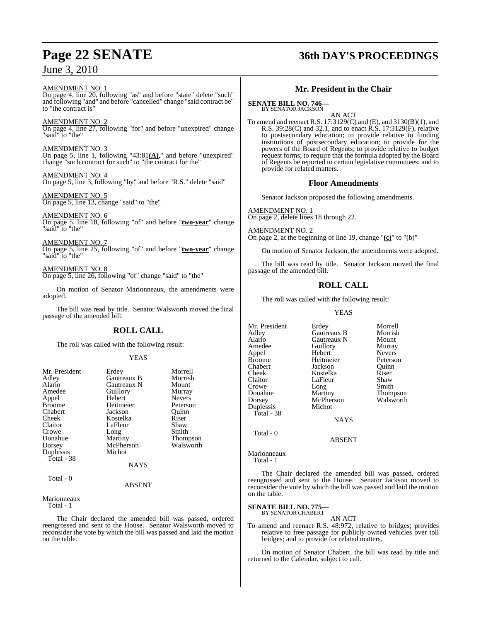### June 3, 2010

### **Page 22 SENATE 36th DAY'S PROCEEDINGS**

AMENDMENT NO. 1

On page 4, line 20, following "as" and before "state" delete "such" and following "and" and before "cancelled" change "said contract be" to "the contract is"

AMENDMENT NO. 2

On page 4, line 27, following "for" and before "unexpired" change "said" to "the"

AMENDMENT NO. 3 On page 5, line 1, following "43:81**(A)**," and before "unexpired" change "such contract for such" to "the contract for the"

AMENDMENT NO. 4 On page 5, line 3, following "by" and before "R.S." delete "said"

AMENDMENT NO. 5 On page 5, line 13, change "said" to "the"

AMENDMENT NO. 6 On page 5, line 18, following "of" and before "**two-year**" change "said" to "the"

AMENDMENT NO. 7 On page 5, line 25, following "of" and before "**two-year**" change "said" to "the"

AMENDMENT NO. 8 On page 5, line 26, following "of" change "said" to "the"

On motion of Senator Marionneaux, the amendments were adopted.

The bill was read by title. Senator Walsworth moved the final passage of the amended bill.

### **ROLL CALL**

The roll was called with the following result:

#### YEAS

| Mr. President | Erdey       | Morrell         |
|---------------|-------------|-----------------|
| Adley         | Gautreaux B | Morrish         |
| Alario        | Gautreaux N | Mount           |
| Amedee        | Guillory    | Murray          |
| Appel         | Hebert      | <b>Nevers</b>   |
| <b>Broome</b> | Heitmeier   | Peterson        |
| Chabert       | Jackson     | Ouinn           |
| Cheek         | Kostelka    | Riser           |
| Claitor       | LaFleur     | Shaw            |
| Crowe         | Long        | Smith           |
| Donahue       | Martiny     | <b>Thompson</b> |
| Dorsey        | McPherson   | Walsworth       |
| Duplessis     | Michot      |                 |
| Total - 38    |             |                 |
|               | <b>NAYS</b> |                 |
| Total - 0     |             |                 |

Marionneaux

Total - 1

The Chair declared the amended bill was passed, ordered reengrossed and sent to the House. Senator Walsworth moved to reconsider the vote by which the bill was passed and laid the motion on the table.

ABSENT

### **Mr. President in the Chair**

**SENATE BILL NO. 746—** BY SENATOR JACKSON

AN ACT

To amend and reenact R.S. 17:3129(C) and (E), and 3130(B)(1), and R.S. 39:28(C) and 32.1, and to enact R.S. 17:3129(F), relative to postsecondary education; to provide relative to funding institutions of postsecondary education; to provide for the powers of the Board of Regents; to provide relative to budget request forms; to require that the formula adopted by the Board of Regents be reported to certain legislative committees; and to provide for related matters.

#### **Floor Amendments**

Senator Jackson proposed the following amendments.

AMENDMENT NO. 1 On page 2, delete lines 18 through 22.

AMENDMENT NO. 2 On page 2, at the beginning of line 19, change "**(c)**" to "(b)"

On motion of Senator Jackson, the amendments were adopted.

The bill was read by title. Senator Jackson moved the final passage of the amended bill.

### **ROLL CALL**

The roll was called with the following result:

YEAS

Mr. President Erdey Morrell<br>Adley Gautreaux B Morrish Adley Gautreaux B Morrish Alario Gautreaux N Mount Amedeu<br>
Amedeu<br>
Amedeu<br>
Amedeu<br>
Nevers Appel Hebert Nevers Heitmeier Peterson<br>Jackson Ouinn Chabert Jackson Quinn Cheek Kostelka Riser<br>Claitor LaFleur Shaw LaFleur Crowe Long Smith<br>Donahue Martiny Thom Donahue Martiny Thompson<br>
Dorsey McPherson Walsworth McPherson<br>Michot Duplessis Total - 38 **NAYS** Total - 0

ABSENT

Marionneaux Total - 1

The Chair declared the amended bill was passed, ordered reengrossed and sent to the House. Senator Jackson moved to reconsider the vote by which the bill was passed and laid the motion on the table.

### **SENATE BILL NO. 775—** BY SENATOR CHABERT

AN ACT

To amend and reenact R.S. 48:972, relative to bridges; provides relative to free passage for publicly owned vehicles over toll bridges; and to provide for related matters.

On motion of Senator Chabert, the bill was read by title and returned to the Calendar, subject to call.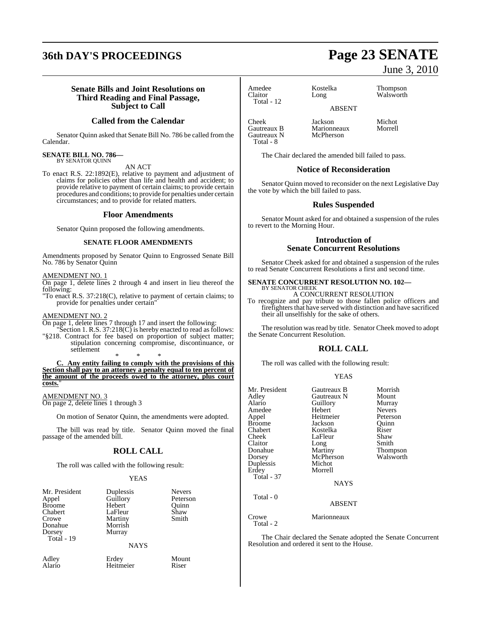# **36th DAY'S PROCEEDINGS Page 23 SENATE**

#### **Senate Bills and Joint Resolutions on Third Reading and Final Passage, Subject to Call**

#### **Called from the Calendar**

Senator Quinn asked that Senate Bill No. 786 be called from the Calendar.

#### **SENATE BILL NO. 786—** BY SENATOR QUINN

AN ACT

To enact R.S. 22:1892(E), relative to payment and adjustment of claims for policies other than life and health and accident; to provide relative to payment of certain claims; to provide certain procedures and conditions; to provide for penalties under certain circumstances; and to provide for related matters.

#### **Floor Amendments**

Senator Quinn proposed the following amendments.

#### **SENATE FLOOR AMENDMENTS**

Amendments proposed by Senator Quinn to Engrossed Senate Bill No. 786 by Senator Quinn

#### AMENDMENT NO. 1

On page 1, delete lines 2 through 4 and insert in lieu thereof the following:

"To enact R.S. 37:218(C), relative to payment of certain claims; to provide for penalties under certain"

#### AMENDMENT NO. 2

On page 1, delete lines 7 through 17 and insert the following:

"Section 1. R.S.  $37:218(C)$  is hereby enacted to read as follows: "§218. Contract for fee based on proportion of subject matter; stipulation concerning compromise, discontinuance, or settlement

\* \* \* **C. Any entity failing to comply with the provisions of this Section shall pay to an attorney a penalty equal to ten percent of the amount of the proceeds owed to the attorney, plus court costs.**"

AMENDMENT NO. 3 On page 2, delete lines 1 through 3

On motion of Senator Quinn, the amendments were adopted.

The bill was read by title. Senator Quinn moved the final passage of the amended bill.

#### **ROLL CALL**

The roll was called with the following result:

#### YEAS

| Mr. President | Duplessis   | <b>Nevers</b> |
|---------------|-------------|---------------|
| Appel         | Guillory    | Peterson      |
| <b>Broome</b> | Hebert      | Ouinn         |
| Chabert       | LaFleur     | Shaw          |
| Crowe         | Martiny     | Smith         |
| Donahue       | Morrish     |               |
| Dorsey        | Murray      |               |
| Total - 19    |             |               |
|               | <b>NAYS</b> |               |

**Heitmeier** 

| Adley  | Erdey     | Mount |
|--------|-----------|-------|
| Alario | Heitmeier | Riser |

### June 3, 2010

Amedee Kostelka Thompson<br>Claitor Long Walsworth Total - 12

ABSENT

Cheek Jackson Michot Gautreaux N Total - 8

Walsworth

The Chair declared the amended bill failed to pass.

Marionneaux<br>McPherson

#### **Notice of Reconsideration**

Senator Quinn moved to reconsider on the next Legislative Day the vote by which the bill failed to pass.

#### **Rules Suspended**

Senator Mount asked for and obtained a suspension of the rules to revert to the Morning Hour.

#### **Introduction of Senate Concurrent Resolutions**

Senator Cheek asked for and obtained a suspension of the rules to read Senate Concurrent Resolutions a first and second time.

### **SENATE CONCURRENT RESOLUTION NO. 102—** BY SENATOR CHEEK

A CONCURRENT RESOLUTION

To recognize and pay tribute to those fallen police officers and firefighters that have served with distinction and have sacrificed their all unselfishly for the sake of others.

The resolution was read by title. Senator Cheek moved to adopt the Senate Concurrent Resolution.

### **ROLL CALL**

The roll was called with the following result:

YEAS

| Mr. President<br>Adley<br>Alario<br>Amedee<br>Appel<br><b>Broome</b><br>Chabert<br>Cheek<br>Claitor<br>Donahue<br>Dorsey<br>Duplessis<br>Erdey<br>Total - 37<br>Total - 0 | Gautreaux B<br>Gautreaux N<br>Guillory<br>Hebert<br>Heitmeier<br>Jackson<br>Kostelka<br>LaFleur<br>Long<br>Martiny<br>McPherson<br>Michot<br>Morrell<br><b>NAYS</b> | Morrish<br>Mount<br>Murray<br><b>Nevers</b><br>Peterson<br>Quinn<br>Riser<br>Shaw<br>Smith<br>Thompson<br>Walsworth |
|---------------------------------------------------------------------------------------------------------------------------------------------------------------------------|---------------------------------------------------------------------------------------------------------------------------------------------------------------------|---------------------------------------------------------------------------------------------------------------------|
|                                                                                                                                                                           | <b>ABSENT</b>                                                                                                                                                       |                                                                                                                     |
| Crowe<br>Total - 2                                                                                                                                                        | Marionneaux                                                                                                                                                         |                                                                                                                     |

The Chair declared the Senate adopted the Senate Concurrent Resolution and ordered it sent to the House.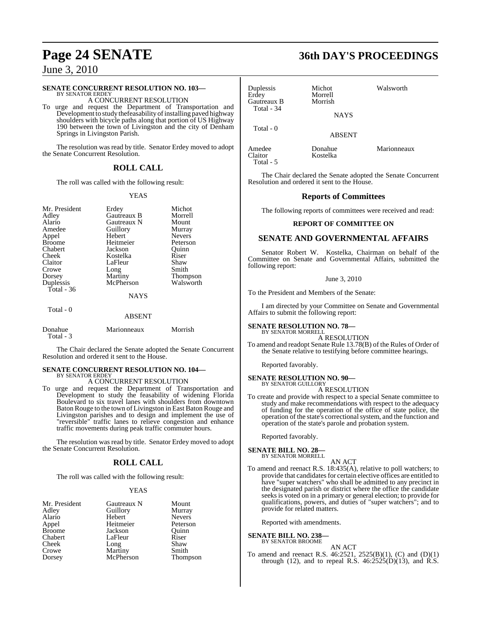# **Page 24 SENATE**

### June 3, 2010

#### **SENATE CONCURRENT RESOLUTION NO. 103—**

BY SENATOR ERDEY A CONCURRENT RESOLUTION

To urge and request the Department of Transportation and Development to study thefeasability of installing paved highway shoulders with bicycle paths along that portion of US Highway 190 between the town of Livingston and the city of Denham Springs in Livingston Parish.

The resolution was read by title. Senator Erdey moved to adopt the Senate Concurrent Resolution.

#### **ROLL CALL**

The roll was called with the following result:

#### YEAS

| Mr. President<br>Adley<br>Alario<br>Amedee<br>Appel<br><b>Broome</b><br>Chabert | Erdey<br>Gautreaux B<br>Gautreaux N<br>Guillory<br>Hebert<br>Heitmeier<br>Jackson | Michot<br>Morrell<br>Mount<br>Murray<br><b>Nevers</b><br>Peterson<br>Ouinn |
|---------------------------------------------------------------------------------|-----------------------------------------------------------------------------------|----------------------------------------------------------------------------|
| Cheek                                                                           | Kostelka                                                                          | Riser                                                                      |
| Claitor                                                                         | LaFleur                                                                           | Shaw                                                                       |
| Crowe                                                                           | Long                                                                              | Smith                                                                      |
| Dorsey                                                                          | Martiny                                                                           | Thompson                                                                   |
| Duplessis                                                                       | McPherson                                                                         | Walsworth                                                                  |
| Total - 36                                                                      |                                                                                   |                                                                            |
|                                                                                 | <b>NAYS</b>                                                                       |                                                                            |
| Total $-0$                                                                      |                                                                                   |                                                                            |
|                                                                                 | <b>ABSENT</b>                                                                     |                                                                            |
| Donahue<br>Total - 3                                                            | Marionneaux                                                                       | Morrish                                                                    |

The Chair declared the Senate adopted the Senate Concurrent Resolution and ordered it sent to the House.

#### **SENATE CONCURRENT RESOLUTION NO. 104—** BY SENATOR ERDEY

#### A CONCURRENT RESOLUTION

To urge and request the Department of Transportation and Development to study the feasability of widening Florida Boulevard to six travel lanes with shoulders from downtown Baton Rouge to the town of Livingston in East Baton Rouge and Livingston parishes and to design and implement the use of "reversible" traffic lanes to relieve congestion and enhance traffic movements during peak traffic commuter hours.

The resolution was read by title. Senator Erdey moved to adopt the Senate Concurrent Resolution.

#### **ROLL CALL**

The roll was called with the following result:

#### YEAS

| Mr. President | Gautreaux N | Mount         |
|---------------|-------------|---------------|
| Adley         | Guillory    | Murray        |
| Alario        | Hebert      | <b>Nevers</b> |
| Appel         | Heitmeier   | Peterson      |
| <b>Broome</b> | Jackson     | Ouinn         |
| Chabert       | LaFleur     | Riser         |
| Cheek         | Long        | Shaw          |
| Crowe         | Martiny     | Smith         |
| Dorsey        | McPherson   | Thompson      |

| <b>36th DAY'S PROCEEDINGS</b> |  |  |  |  |
|-------------------------------|--|--|--|--|
|-------------------------------|--|--|--|--|

| Duplessis<br>Erdey<br>Gautreaux B<br>Total - 34 | Michot<br>Morrell<br>Morrish<br><b>NAYS</b> | Walsworth   |  |
|-------------------------------------------------|---------------------------------------------|-------------|--|
| Total - 0                                       | <b>ABSENT</b>                               |             |  |
| Amedee<br>Claitor                               | Donahue<br>Kostelka                         | Marionneaux |  |

The Chair declared the Senate adopted the Senate Concurrent Resolution and ordered it sent to the House.

#### **Reports of Committees**

The following reports of committees were received and read:

#### **REPORT OF COMMITTEE ON**

#### **SENATE AND GOVERNMENTAL AFFAIRS**

Senator Robert W. Kostelka, Chairman on behalf of the Committee on Senate and Governmental Affairs, submitted the following report:

#### June 3, 2010

To the President and Members of the Senate:

I am directed by your Committee on Senate and Governmental Affairs to submit the following report:

#### **SENATE RESOLUTION NO. 78—** BY SENATOR MORRELL

A RESOLUTION

To amend and readopt Senate Rule 13.78(B) of the Rules of Order of the Senate relative to testifying before committee hearings.

Reported favorably.

#### **SENATE RESOLUTION NO. 90—** BY SENATOR GUILLORY

#### A RESOLUTION

To create and provide with respect to a special Senate committee to study and make recommendations with respect to the adequacy of funding for the operation of the office of state police, the operation of the state's correctionalsystem, and the function and operation of the state's parole and probation system.

Reported favorably.

#### **SENATE BILL NO. 28—** BY SENATOR MORRELL

AN ACT

To amend and reenact R.S. 18:435(A), relative to poll watchers; to provide that candidates for certain elective offices are entitled to have "super watchers" who shall be admitted to any precinct in the designated parish or district where the office the candidate seeks is voted on in a primary or general election; to provide for qualifications, powers, and duties of "super watchers"; and to provide for related matters.

Reported with amendments.

### **SENATE BILL NO. 238—** BY SENATOR BROOME

AN ACT

To amend and reenact R.S. 46:2521, 2525(B)(1), (C) and (D)(1) through (12), and to repeal R.S.  $46:2525(D)(13)$ , and R.S.

Total - 5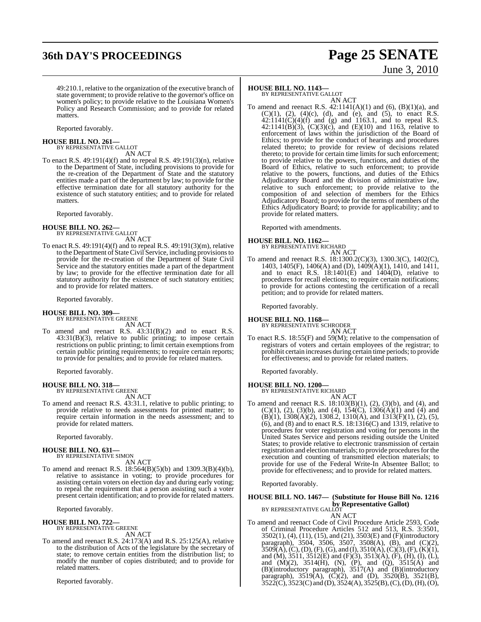# **36th DAY'S PROCEEDINGS Page 25 SENATE**

# June 3, 2010

49:210.1, relative to the organization of the executive branch of state government; to provide relative to the governor's office on women's policy; to provide relative to the Louisiana Women's Policy and Research Commission; and to provide for related matters.

Reported favorably.

**HOUSE BILL NO. 261—** BY REPRESENTATIVE GALLOT

AN ACT

To enact R.S. 49:191(4)(f) and to repeal R.S. 49:191(3)(n), relative to the Department of State, including provisions to provide for the re-creation of the Department of State and the statutory entities made a part of the department by law; to provide for the effective termination date for all statutory authority for the existence of such statutory entities; and to provide for related matters.

Reported favorably.

**HOUSE BILL NO. 262—** BY REPRESENTATIVE GALLOT

AN ACT To enact R.S. 49:191(4)(f) and to repeal R.S. 49:191(3)(m), relative to the Department of StateCivil Service, including provisionsto provide for the re-creation of the Department of State Civil Service and the statutory entities made a part of the department by law; to provide for the effective termination date for all statutory authority for the existence of such statutory entities; and to provide for related matters.

Reported favorably.

#### **HOUSE BILL NO. 309—**

BY REPRESENTATIVE GREENE

AN ACT To amend and reenact R.S. 43:31(B)(2) and to enact R.S. 43:31(B)(3), relative to public printing; to impose certain restrictions on public printing; to limit certain exemptions from certain public printing requirements; to require certain reports; to provide for penalties; and to provide for related matters.

Reported favorably.

**HOUSE BILL NO. 318—** BY REPRESENTATIVE GREENE AN ACT

To amend and reenact R.S. 43:31.1, relative to public printing; to provide relative to needs assessments for printed matter; to require certain information in the needs assessment; and to provide for related matters.

Reported favorably.

# **HOUSE BILL NO. 631—** BY REPRESENTATIVE SIMON

AN ACT

To amend and reenact R.S. 18:564(B)(5)(b) and 1309.3(B)(4)(b), relative to assistance in voting; to provide procedures for assisting certain voters on election day and during early voting; to repeal the requirement that a person assisting such a voter present certain identification; and to provide for related matters.

Reported favorably.

#### **HOUSE BILL NO. 722—** BY REPRESENTATIVE GREENE

AN ACT

To amend and reenact R.S. 24:173(A) and R.S. 25:125(A), relative to the distribution of Acts of the legislature by the secretary of state; to remove certain entities from the distribution list; to modify the number of copies distributed; and to provide for related matters.

Reported favorably.

### **HOUSE BILL NO. 1143—**

BY REPRESENTATIVE GALLOT AN ACT

To amend and reenact R.S.  $42:1141(A)(1)$  and  $(6)$ ,  $(B)(1)(a)$ , and  $(C)(1)$ ,  $(2)$ ,  $(4)(c)$ ,  $(d)$ , and  $(e)$ , and  $(5)$ , to enact R.S.  $42:1141(C)(4)(f)$  and (g) and 1163.1, and to repeal R.S. 42:1141(B)(3),  $(C)(3)(c)$ , and  $(E)(10)$  and 1163, relative to enforcement of laws within the jurisdiction of the Board of Ethics; to provide for the conduct of hearings and procedures related thereto; to provide for review of decisions related thereto; to provide for certain time limits for such enforcement; to provide relative to the powers, functions, and duties of the Board of Ethics, relative to such enforcement; to provide relative to the powers, functions, and duties of the Ethics Adjudicatory Board and the division of administrative law, relative to such enforcement; to provide relative to the composition of and selection of members for the Ethics Adjudicatory Board; to provide for the terms of members of the Ethics Adjudicatory Board; to provide for applicability; and to provide for related matters.

Reported with amendments.

#### **HOUSE BILL NO. 1162—**

BY REPRESENTATIVE RICHARD AN ACT

To amend and reenact R.S. 18:1300.2(C)(3), 1300.3(C), 1402(C), 1403, 1405(F), 1406(A) and (D), 1409(A)(1), 1410, and 1411, and to enact R.S.  $18:1401(E)$  and  $1404(D)$ , relative to procedures for recall elections; to require certain notifications; to provide for actions contesting the certification of a recall petition; and to provide for related matters.

Reported favorably.

#### **HOUSE BILL NO. 1168—**

BY REPRESENTATIVE SCHRODER AN ACT

To enact R.S. 18:55(F) and 59(M); relative to the compensation of registrars of voters and certain employees of the registrar; to prohibit certain increases during certain time periods; to provide for effectiveness; and to provide for related matters.

Reported favorably.

#### **HOUSE BILL NO. 1200—**

BY REPRESENTATIVE RICHARD AN ACT

To amend and reenact R.S. 18:103(B)(1), (2), (3)(b), and (4), and (C)(1), (2), (3)(b), and (4),  $154(C)$ ,  $1306(A)(1)$  and (4) and (B)(1), 1308(A)(2), 1308.2, 1310(A), and 1313(F)(1), (2), (5), (6), and (8) and to enact R.S.  $18:1316(C)$  and  $1319$ , relative to procedures for voter registration and voting for persons in the United States Service and persons residing outside the United States; to provide relative to electronic transmission of certain registration and election materials; to provide proceduresfor the execution and counting of transmitted election materials; to provide for use of the Federal Write-In Absentee Ballot; to provide for effectiveness; and to provide for related matters.

Reported favorably.

#### **HOUSE BILL NO. 1467— (Substitute for House Bill No. 1216 by Representative Gallot)**

BY REPRESENTATIVE GALLOT

AN ACT

To amend and reenact Code of Civil Procedure Article 2593, Code of Criminal Procedure Articles 512 and 513, R.S. 3:3501, 3502(1), (4), (11), (15), and (21), 3503(E) and (F)(introductory paragraph), 3504, 3506, 3507, 3508(A), (B), and (C)(2),  $3509(A), (C), (D), (F), (G),$  and  $(I), 3510(A), (C)(3), (F), (K)(1),$ and (M), 3511, 3512(E) and (F)(3), 3513(A), (F), (H), (I), (L), and  $(M)(2)$ ,  $3514(H)$ ,  $(N)$ ,  $(P)$ , and  $(Q)$ ,  $3515(A)$  and (B)(introductory paragraph), 3517(A) and (B)(introductory paragraph),  $3519(A)$ ,  $(C)(2)$ , and  $(D)$ ,  $3520(B)$ ,  $3521(B)$ ,  $3522(C)$ ,  $3523(C)$  and (D),  $3524(A)$ ,  $3525(B)$ , (C), (D), (H), (O),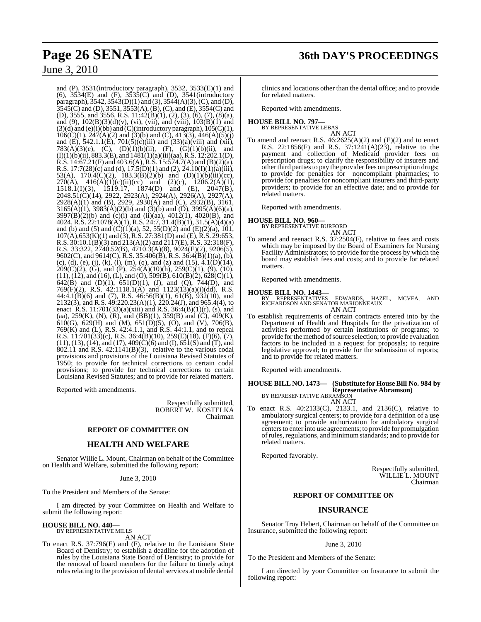### June 3, 2010

and (P), 3531(introductory paragraph), 3532, 3533(E)(1) and (6), 3534(E) and (F), 3535(C) and (D), 3541(introductory paragraph), 3542, 3543(D)(1) and (3), 3544(A)(3),(C), and (D),  $3545(C)$  and (D),  $3551, 3553(A)$ , (B), (C), and (E),  $3554(C)$  and (D), 3555, and 3556, R.S. 11:42(B)(1), (2), (3), (6), (7), (8)(a), and (9), 102(B)(3)(d)(v), (vi), (vii), and (viii), 103(B)(1) and  $(3)(d)$  and  $(e)(i)(bb)$  and  $(C)(introducing a graph)$ ,  $105(C)(1)$ ,  $106(C)(1)$ ,  $247(A)(2)$  and  $(3)(b)$  and  $(C)$ ,  $413(3)$ ,  $446(A)(5)(j)$ and (E),  $542.1.1(E)$ ,  $701(5)(c)(iii)$  and  $(33)(a)(viii)$  and  $(xii)$ , 783(A)(3)(e), (C), (D)(1)(b)(ii), (F), (G)(1)(b)(ii), and  $(I)(1)(b)(ii)$ , 883.3 $(E)$ , and  $1481(1)(a)(iii)(aa)$ , R.S. 12:202.1(D), R.S. 14:67.21(F) and 403.6(A), R.S. 15:574.7(A) and (B)(2)(a), R.S. 17:7(28)(c) and (d), 17.5(D)(1) and (2), 24.10(I)(1)(a)(iii), 53(A),  $170.4(\text{C})(2)$ ,  $183.3(\text{B})(2)(\text{b})$  and  $(D)(1)(\text{b})(\text{iii})(\text{c}\text{c})$ ,  $270(\text{A})$ ,  $416(\text{A})(1)(\text{c})(\text{iii})(\text{c}\text{c})$  and  $(2)(\text{c})$ ,  $1206.2(\text{A})(1)$ ,  $270(A)$ ,  $416(A)(1)(c)(ii)(cc)$  and  $(2)(c)$ ,  $1206.2(A)(1)$ , 1518.1(I)(3), 1519.17, 1874(D) and (E), 2047(B), 2048.51(C)(14), 2922, 2923(A), 2924(A), 2926(A), 2927(A), 2928(A)(1) and (B), 2929, 2930(A) and (C), 2932(B), 3161,  $3165(\overrightarrow{A})(1)$ ,  $3983(\overrightarrow{A})(2)(b)$  and  $(3)(b)$  and  $(\overrightarrow{D})$ ,  $3995(\overrightarrow{A})(6)(a)$ ,  $3997(B)(2)(b)$  and (c)(i) and (ii)(aa),  $4012(1)$ ,  $4020(B)$ , and 4024, R.S. 22:1078(A)(1), R.S. 24:7, 31.4(B)(1), 31.5(A)(4)(a) and (b) and (5) and  $(C)(1)(a)$ , 52, 55(D)(2) and (E)(2)(a), 101,  $107(A)$ ,  $653(K)(1)$  and  $(3)$ , R.S.  $27:381(D)$  and  $(E)$ , R.S.  $29:653$ , R.S. 30:10.1(B)(3) and 213(A)(2) and 2117(E), R.S. 32:318(F), R.S. 33:322, 2740.52(B), 4710.3(A)(8), 9024(E)(2), 9206(5), 9602(C), and 9614(C), R.S. 35:406(B), R.S. 36:4(B)(1)(a), (b), (c), (d), (e), (j), (k), (l), (m), (q), and (z) and (15),  $4.1(D)(14)$ ,  $209(C)(2)$ , (G), and (P),  $254(A)(10)(h)$ ,  $259(C)(1)$ , (9), (10),  $(11)$ ,  $(12)$ , and  $(16)$ ,  $(L)$ , and  $(O)$ ,  $509(B)$ ,  $610(B)(2)$ ,  $628(C)(1)$ , 642(B) and (D)(1),  $651(D)(1)$ , (J), and (Q), 744(D), and 769 $(F)(2)$ , R.S. 42:1118.1(A) and 1123(13)(a)(i)(dd), R.S. 44:4.1(B)(6) and (7), R.S. 46:56(B)(1), 61(B), 932(10), and 2132(3), and R.S. 49:220.23(A)(1), 220.24(J), and 965.4(4), to enact R.S. 11:701(33)(a)(xiii) and R.S. 36:4(B)(1)(r), (s), and (aa), 259(K), (N), (R), and (BB)(1), 359(B) and (C), 409(K), 610(G), 629(H) and (M), 651(D)(5), (O), and (V), 706(B), 769(K) and (L), R.S. 42:4.1.1, and R.S. 44:1.1, and to repeal R.S. 11:701(33)(c), R.S. 36:4(B)(10), 259(E)(18), (F)(6), (7), (11), (13), (14), and (17), 409(C)(6) and (I), 651(S) and (T), and  $802.11$  and R.S. 42:1141(B)(3), relative to the various codal provisions and provisions of the Louisiana Revised Statutes of 1950; to provide for technical corrections to certain codal provisions; to provide for technical corrections to certain Louisiana Revised Statutes; and to provide for related matters.

Reported with amendments.

Respectfully submitted, ROBERT W. KOSTELKA Chairman

#### **REPORT OF COMMITTEE ON**

#### **HEALTH AND WELFARE**

Senator Willie L. Mount, Chairman on behalf of the Committee on Health and Welfare, submitted the following report:

#### June 3, 2010

To the President and Members of the Senate:

I am directed by your Committee on Health and Welfare to submit the following report:

### **HOUSE BILL NO. 440—** BY REPRESENTATIVE MILLS

AN ACT

To enact R.S. 37:796(E) and (F), relative to the Louisiana State Board of Dentistry; to establish a deadline for the adoption of rules by the Louisiana State Board of Dentistry; to provide for the removal of board members for the failure to timely adopt rules relating to the provision of dental services at mobile dental clinics and locations other than the dental office; and to provide for related matters.

Reported with amendments.

#### **HOUSE BILL NO. 797—** BY REPRESENTATIVE LEBAS

AN ACT

To amend and reenact R.S.  $46:2625(A)(2)$  and  $(E)(2)$  and to enact R.S.  $22:1856(F)$  and R.S.  $37:1241(A)(23)$ , relative to the payment and collection of Medicaid provider fees on prescription drugs; to clarify the responsibility of insurers and other third parties to pay the provider fees on prescription drugs; to provide for penalties for noncompliant pharmacies; to provide for penalties for noncompliant insurers and third-party providers; to provide for an effective date; and to provide for related matters.

Reported with amendments.

### **HOUSE BILL NO. 960—** BY REPRESENTATIVE BURFORD

AN ACT

To amend and reenact R.S. 37:2504(F), relative to fees and costs which may be imposed by the Board of Examiners for Nursing Facility Administrators; to provide for the process by which the board may establish fees and costs; and to provide for related matters.

Reported with amendments.

**HOUSE BILL NO. 1443—** BY REPRESENTATIVES EDWARDS, HAZEL, MCVEA, AND RICHARDSON AND SENATOR MARIONNEAUX AN ACT

To establish requirements of certain contracts entered into by the Department of Health and Hospitals for the privatization of activities performed by certain institutions or programs; to provide for the method of source selection; to provide evaluation factors to be included in a request for proposals; to require legislative approval; to provide for the submission of reports; and to provide for related matters.

Reported with amendments.

### **HOUSE BILL NO. 1473— (Substitute for House Bill No. 984 by Representative Abramson)** BY REPRESENTATIVE ABRAMSON

AN ACT

To enact R.S. 40:2133(C), 2133.1, and 2136(C), relative to ambulatory surgical centers; to provide for a definition of a use agreement; to provide authorization for ambulatory surgical centersto enterinto use agreements; to provide for promulgation ofrules, regulations, and minimumstandards; and to provide for related matters.

Reported favorably.

Respectfully submitted, WILLIE L. MOUNT Chairman

#### **REPORT OF COMMITTEE ON**

#### **INSURANCE**

Senator Troy Hebert, Chairman on behalf of the Committee on Insurance, submitted the following report:

#### June 3, 2010

To the President and Members of the Senate:

I am directed by your Committee on Insurance to submit the following report: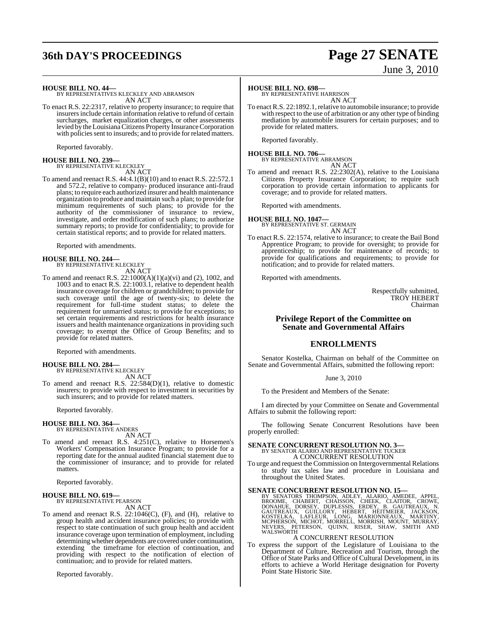## **36th DAY'S PROCEEDINGS Page 27 SENATE**

# June 3, 2010

**HOUSE BILL NO. 44—** BY REPRESENTATIVES KLECKLEY AND ABRAMSON AN ACT

To enact R.S. 22:2317, relative to property insurance; to require that insurersinclude certain information relative to refund of certain surcharges, market equalization charges, or other assessments levied by theLouisiana Citizens Property Insurance Corporation with policies sent to insureds; and to provide for related matters.

Reported favorably.

# **HOUSE BILL NO. 239—** BY REPRESENTATIVE KLECKLEY

AN ACT

To amend and reenact R.S. 44:4.1(B)(10) and to enact R.S. 22:572.1 and 572.2, relative to company- produced insurance anti-fraud plans; to require each authorized insurer and health maintenance organization to produce and maintain such a plan; to provide for minimum requirements of such plans; to provide for the authority of the commissioner of insurance to review, investigate, and order modification of such plans; to authorize summary reports; to provide for confidentiality; to provide for certain statistical reports; and to provide for related matters.

Reported with amendments.

# **HOUSE BILL NO. 244—** BY REPRESENTATIVE KLECKLEY

AN ACT

To amend and reenact R.S. 22:1000(A)(1)(a)(vi) and (2), 1002, and 1003 and to enact R.S. 22:1003.1, relative to dependent health insurance coverage for children or grandchildren; to provide for such coverage until the age of twenty-six; to delete the requirement for full-time student status; to delete the requirement for unmarried status; to provide for exceptions; to set certain requirements and restrictions for health insurance issuers and health maintenance organizations in providing such coverage; to exempt the Office of Group Benefits; and to provide for related matters.

Reported with amendments.

#### **HOUSE BILL NO. 284—**

BY REPRESENTATIVE KLECKLEY AN ACT

To amend and reenact R.S. 22:584(D)(1), relative to domestic insurers; to provide with respect to investment in securities by such insurers; and to provide for related matters.

Reported favorably.

#### **HOUSE BILL NO. 364—**

BY REPRESENTATIVE ANDERS AN ACT

To amend and reenact R.S. 4:251(C), relative to Horsemen's Workers' Compensation Insurance Program; to provide for a reporting date for the annual audited financial statement due to the commissioner of insurance; and to provide for related matters.

Reported favorably.

#### **HOUSE BILL NO. 619—**

BY REPRESENTATIVE PEARSON AN ACT

To amend and reenact R.S. 22:1046(C), (F), and (H), relative to group health and accident insurance policies; to provide with respect to state continuation of such group health and accident insurance coverage upon termination of employment, including determining whether dependents are covered under continuation, extending the timeframe for election of continuation, and providing with respect to the notification of election of continuation; and to provide for related matters.

Reported favorably.

#### **HOUSE BILL NO. 698—**

BY REPRESENTATIVE HARRISON AN ACT

To enact R.S. 22:1892.1, relative to automobile insurance; to provide with respect to the use of arbitration or any other type of binding mediation by automobile insurers for certain purposes; and to provide for related matters.

Reported favorably.

### **HOUSE BILL NO. 706—** BY REPRESENTATIVE ABRAMSON

AN ACT

To amend and reenact R.S. 22:2302(A), relative to the Louisiana Citizens Property Insurance Corporation; to require such corporation to provide certain information to applicants for coverage; and to provide for related matters.

Reported with amendments.

### **HOUSE BILL NO. 1047—** BY REPRESENTATIVE ST. GERMAIN AN ACT

To enact R.S. 22:1574, relative to insurance; to create the Bail Bond Apprentice Program; to provide for oversight; to provide for apprenticeship; to provide for maintenance of records; to provide for qualifications and requirements; to provide for notification; and to provide for related matters.

Reported with amendments.

Respectfully submitted, TROY HEBERT Chairman

### **Privilege Report of the Committee on Senate and Governmental Affairs**

### **ENROLLMENTS**

Senator Kostelka, Chairman on behalf of the Committee on Senate and Governmental Affairs, submitted the following report:

June 3, 2010

To the President and Members of the Senate:

I am directed by your Committee on Senate and Governmental Affairs to submit the following report:

The following Senate Concurrent Resolutions have been properly enrolled:

### **SENATE CONCURRENT RESOLUTION NO. 3—** BY SENATOR ALARIO AND REPRESENTATIVE TUCKER A CONCURRENT RESOLUTION

To urge and request the Commission on Intergovernmental Relations to study tax sales law and procedure in Louisiana and throughout the United States.

SENATE CONCURRENT RESOLUTION NO. 15—<br>BY SENATORS THOMPSON, ADLEY, ALARIO, AMEDEE, APPEL, BROOME, CHABERT, CHAISSON, CHEEK, CLAITOR, CROWE,<br>DONAHUE, DORSEY, DUPLESSIS, ERDEY, B. GAUTREAUX, N.<br>GAUTREAUX, GUILLORY, HEBERT, HE

#### A CONCURRENT RESOLUTION

To express the support of the Legislature of Louisiana to the Department of Culture, Recreation and Tourism, through the Office of State Parks and Office of Cultural Development, in its efforts to achieve a World Heritage designation for Poverty Point State Historic Site.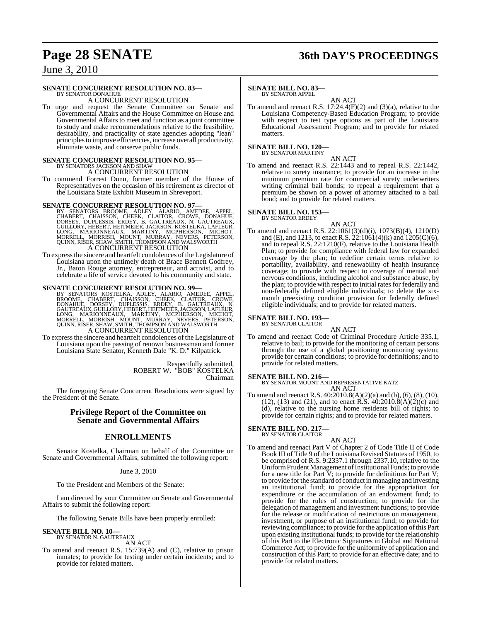# **Page 28 SENATE 36th DAY'S PROCEEDINGS**

June 3, 2010

### **SENATE CONCURRENT RESOLUTION NO. 83—**

BY SENATOR DONAHUE A CONCURRENT RESOLUTION

To urge and request the Senate Committee on Senate and Governmental Affairs and the House Committee on House and Governmental Affairs to meet and function as a joint committee to study and make recommendations relative to the feasibility, desirability, and practicality of state agencies adopting "lean" principlesto improve efficiencies, increase overall productivity, eliminate waste, and conserve public funds.

# **SENATE CONCURRENT RESOLUTION NO. 95—** BY SENATORS JACKSON AND SHAW

A CONCURRENT RESOLUTION

To commend Forrest Dunn, former member of the House of Representatives on the occasion of his retirement as director of the Louisiana State Exhibit Museum in Shreveport.

- SENATE CONCURRENT RESOLUTION NO. 97—BY SENATORS BROOME, ADLEY, ALARIO, AMEDEE, APPEL, CHABERT, CHAISSON, CHEEK, CLAITOR, CROWE, DONAHUE, DORSEY, DUPLESSIS, ERDEY, B. GAUTREAUX, N. GAUTREAUX, GUILLORY, HEBERT, HEITMEIER, JA A CONCURRENT RESOLUTION
- To expressthe sincere and heartfelt condolences of the Legislature of Louisiana upon the untimely death of Brace Bennett Godfrey, Jr., Baton Rouge attorney, entrepreneur, and activist, and to celebrate a life of service devoted to his community and state.

#### **SENATE CONCURRENT RESOLUTION NO. 99—**

- BY SENATORS KOSTELKA, ADLEY, ALARIO, AMEDEE, APPEL, BROOME, CHABERT, CHARISSON, CHEEK, CLAITOR, CROWE, DONAHUE, DORSEY, DUPLESSIS, ERDEY, B. GAUTREAUX, N.<br>GAUTREAUX,GUILLORY,HEBERT,HEITMEIER,JACKSON,LAFLEUR,<br>GAUTREAUX,GUIL
- To expressthe sincere and heartfelt condolences of the Legislature of Louisiana upon the passing of renown businessman and former Louisiana State Senator, Kenneth Dale "K. D." Kilpatrick.

Respectfully submitted, ROBERT W. "BOB" KOSTELKA Chairman

The foregoing Senate Concurrent Resolutions were signed by the President of the Senate.

### **Privilege Report of the Committee on Senate and Governmental Affairs**

#### **ENROLLMENTS**

Senator Kostelka, Chairman on behalf of the Committee on Senate and Governmental Affairs, submitted the following report:

#### June 3, 2010

To the President and Members of the Senate:

I am directed by your Committee on Senate and Governmental Affairs to submit the following report:

The following Senate Bills have been properly enrolled:

### **SENATE BILL NO. 10—** BY SENATOR N. GAUTREAUX

AN ACT

To amend and reenact R.S. 15:739(A) and (C), relative to prison inmates; to provide for testing under certain incidents; and to provide for related matters.

### **SENATE BILL NO. 83—**

BY SENATOR APPEL

AN ACT To amend and reenact R.S. 17:24.4(F)(2) and (3)(a), relative to the Louisiana Competency-Based Education Program; to provide with respect to test type options as part of the Louisiana Educational Assessment Program; and to provide for related matters.

**SENATE BILL NO. 120—** BY SENATOR MARTINY

AN ACT

To amend and reenact R.S. 22:1443 and to repeal R.S. 22:1442, relative to surety insurance; to provide for an increase in the minimum premium rate for commercial surety underwriters writing criminal bail bonds; to repeal a requirement that a premium be shown on a power of attorney attached to a bail bond; and to provide for related matters.

### **SENATE BILL NO. 153—** BY SENATOR ERDEY

AN ACT

To amend and reenact R.S. 22:1061(3)(d)(i), 1073(B)(4), 1210(D) and (E), and 1213, to enact R.S.  $22:1061(4)$ (k) and  $1205(C)(6)$ , and to repeal R.S. 22:1210(F), relative to the Louisiana Health Plan; to provide for compliance with federal law for expanded coverage by the plan; to redefine certain terms relative to portability, availability, and renewability of health insurance coverage; to provide with respect to coverage of mental and nervous conditions, including alcohol and substance abuse, by the plan; to provide with respect to initial rates for federally and non-federally defined eligible individuals; to delete the sixmonth preexisting condition provision for federally defined eligible individuals; and to provide for related matters.

### **SENATE BILL NO. 193—** BY SENATOR CLAITOR

AN ACT To amend and reenact Code of Criminal Procedure Article 335.1, relative to bail; to provide for the monitoring of certain persons through the use of a global positioning monitoring system; provide for certain conditions; to provide for definitions; and to provide for related matters.

**SENATE BILL NO. 216—** BY SENATOR MOUNT AND REPRESENTATIVE KATZ AN ACT

To amend and reenact R.S. 40:2010.8(A)(2)(a) and (b), (6), (8), (10), (12), (13) and (21), and to enact R.S. 40:2010.8(A)(2)(c) and (d), relative to the nursing home residents bill of rights; to provide for certain rights; and to provide for related matters.

#### **SENATE BILL NO. 217—**

BY SENATOR CLAITOR

- AN ACT
- To amend and reenact Part V of Chapter 2 of Code Title II of Code Book III of Title 9 of the Louisiana Revised Statutes of 1950, to be comprised of R.S. 9:2337.1 through 2337.10, relative to the Uniform Prudent Management of Institutional Funds; to provide for a new title for Part V; to provide for definitions for Part V; to provide forthe standard of conduct in managing and investing an institutional fund; to provide for the appropriation for expenditure or the accumulation of an endowment fund; to provide for the rules of construction; to provide for the delegation of management and investment functions; to provide for the release or modification of restrictions on management, investment, or purpose of an institutional fund; to provide for reviewing compliance; to provide for the application ofthis Part upon existing institutional funds; to provide for the relationship of this Part to the Electronic Signatures in Global and National Commerce Act; to provide for the uniformity of application and construction of this Part; to provide for an effective date; and to provide for related matters.